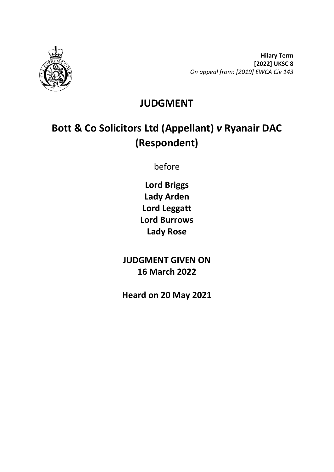

**Hilary Term [2022] UKSC 8** *On appeal from: [2019] EWCA Civ 143*

# **JUDGMENT**

# **Bott & Co Solicitors Ltd (Appellant)** *v* **Ryanair DAC (Respondent)**

before

**Lord Briggs Lady Arden Lord Leggatt Lord Burrows Lady Rose**

**JUDGMENT GIVEN ON 16 March 2022**

**Heard on 20 May 2021**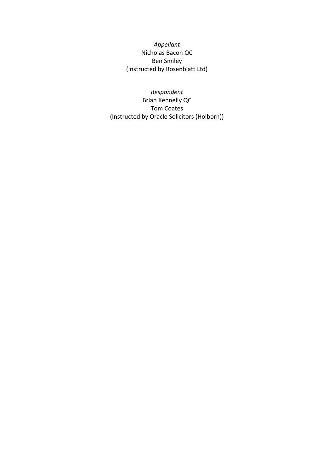*Appellant* Nicholas Bacon QC Ben Smiley (Instructed by Rosenblatt Ltd)

*Respondent* Brian Kennelly QC Tom Coates (Instructed by Oracle Solicitors (Holborn))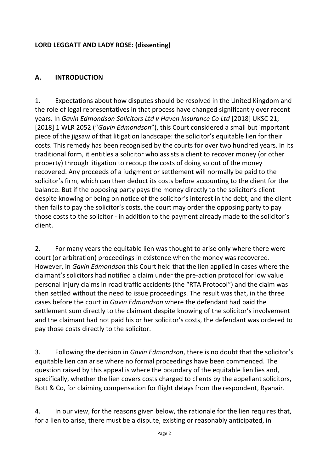#### **LORD LEGGATT AND LADY ROSE: (dissenting)**

## **A. INTRODUCTION**

1. Expectations about how disputes should be resolved in the United Kingdom and the role of legal representatives in that process have changed significantly over recent years. In *Gavin Edmondson Solicitors Ltd v Haven Insurance Co Ltd* [2018] UKSC 21; [2018] 1 WLR 2052 ("*Gavin Edmondson*"), this Court considered a small but important piece of the jigsaw of that litigation landscape: the solicitor's equitable lien for their costs. This remedy has been recognised by the courts for over two hundred years. In its traditional form, it entitles a solicitor who assists a client to recover money (or other property) through litigation to recoup the costs of doing so out of the money recovered. Any proceeds of a judgment or settlement will normally be paid to the solicitor's firm, which can then deduct its costs before accounting to the client for the balance. But if the opposing party pays the money directly to the solicitor's client despite knowing or being on notice of the solicitor's interest in the debt, and the client then fails to pay the solicitor's costs, the court may order the opposing party to pay those costs to the solicitor - in addition to the payment already made to the solicitor's client.

2. For many years the equitable lien was thought to arise only where there were court (or arbitration) proceedings in existence when the money was recovered. However, in *Gavin Edmondson* this Court held that the lien applied in cases where the claimant's solicitors had notified a claim under the pre-action protocol for low value personal injury claims in road traffic accidents (the "RTA Protocol") and the claim was then settled without the need to issue proceedings. The result was that, in the three cases before the court in *Gavin Edmondson* where the defendant had paid the settlement sum directly to the claimant despite knowing of the solicitor's involvement and the claimant had not paid his or her solicitor's costs, the defendant was ordered to pay those costs directly to the solicitor.

3. Following the decision in *Gavin Edmondson*, there is no doubt that the solicitor's equitable lien can arise where no formal proceedings have been commenced. The question raised by this appeal is where the boundary of the equitable lien lies and, specifically, whether the lien covers costs charged to clients by the appellant solicitors, Bott & Co, for claiming compensation for flight delays from the respondent, Ryanair.

4. In our view, for the reasons given below, the rationale for the lien requires that, for a lien to arise, there must be a dispute, existing or reasonably anticipated, in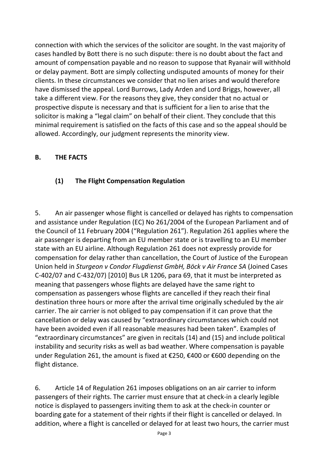connection with which the services of the solicitor are sought. In the vast majority of cases handled by Bott there is no such dispute: there is no doubt about the fact and amount of compensation payable and no reason to suppose that Ryanair will withhold or delay payment. Bott are simply collecting undisputed amounts of money for their clients. In these circumstances we consider that no lien arises and would therefore have dismissed the appeal. Lord Burrows, Lady Arden and Lord Briggs, however, all take a different view. For the reasons they give, they consider that no actual or prospective dispute is necessary and that is sufficient for a lien to arise that the solicitor is making a "legal claim" on behalf of their client. They conclude that this minimal requirement is satisfied on the facts of this case and so the appeal should be allowed. Accordingly, our judgment represents the minority view.

#### **B. THE FACTS**

#### **(1) The Flight Compensation Regulation**

5. An air passenger whose flight is cancelled or delayed has rights to compensation and assistance under Regulation (EC) No 261/2004 of the European Parliament and of the Council of 11 February 2004 ("Regulation 261"). Regulation 261 applies where the air passenger is departing from an EU member state or is travelling to an EU member state with an EU airline. Although Regulation 261 does not expressly provide for compensation for delay rather than cancellation, the Court of Justice of the European Union held in *Sturgeon v Condor Flugdienst GmbH, Böck v Air France SA* (Joined Cases C-402/07 and C-432/07) [2010] Bus LR 1206, para 69, that it must be interpreted as meaning that passengers whose flights are delayed have the same right to compensation as passengers whose flights are cancelled if they reach their final destination three hours or more after the arrival time originally scheduled by the air carrier. The air carrier is not obliged to pay compensation if it can prove that the cancellation or delay was caused by "extraordinary circumstances which could not have been avoided even if all reasonable measures had been taken". Examples of "extraordinary circumstances" are given in recitals (14) and (15) and include political instability and security risks as well as bad weather. Where compensation is payable under Regulation 261, the amount is fixed at €250, €400 or €600 depending on the flight distance.

6. Article 14 of Regulation 261 imposes obligations on an air carrier to inform passengers of their rights. The carrier must ensure that at check-in a clearly legible notice is displayed to passengers inviting them to ask at the check-in counter or boarding gate for a statement of their rights if their flight is cancelled or delayed. In addition, where a flight is cancelled or delayed for at least two hours, the carrier must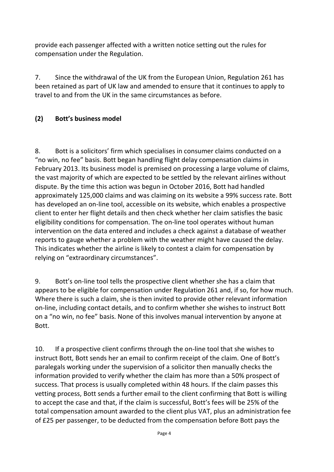provide each passenger affected with a written notice setting out the rules for compensation under the Regulation.

7. Since the withdrawal of the UK from the European Union, Regulation 261 has been retained as part of UK law and amended to ensure that it continues to apply to travel to and from the UK in the same circumstances as before.

## **(2) Bott's business model**

8. Bott is a solicitors' firm which specialises in consumer claims conducted on a "no win, no fee" basis. Bott began handling flight delay compensation claims in February 2013. Its business model is premised on processing a large volume of claims, the vast majority of which are expected to be settled by the relevant airlines without dispute. By the time this action was begun in October 2016, Bott had handled approximately 125,000 claims and was claiming on its website a 99% success rate. Bott has developed an on-line tool, accessible on its website, which enables a prospective client to enter her flight details and then check whether her claim satisfies the basic eligibility conditions for compensation. The on-line tool operates without human intervention on the data entered and includes a check against a database of weather reports to gauge whether a problem with the weather might have caused the delay. This indicates whether the airline is likely to contest a claim for compensation by relying on "extraordinary circumstances".

9. Bott's on-line tool tells the prospective client whether she has a claim that appears to be eligible for compensation under Regulation 261 and, if so, for how much. Where there is such a claim, she is then invited to provide other relevant information on-line, including contact details, and to confirm whether she wishes to instruct Bott on a "no win, no fee" basis. None of this involves manual intervention by anyone at Bott.

10. If a prospective client confirms through the on-line tool that she wishes to instruct Bott, Bott sends her an email to confirm receipt of the claim. One of Bott's paralegals working under the supervision of a solicitor then manually checks the information provided to verify whether the claim has more than a 50% prospect of success. That process is usually completed within 48 hours. If the claim passes this vetting process, Bott sends a further email to the client confirming that Bott is willing to accept the case and that, if the claim is successful, Bott's fees will be 25% of the total compensation amount awarded to the client plus VAT, plus an administration fee of £25 per passenger, to be deducted from the compensation before Bott pays the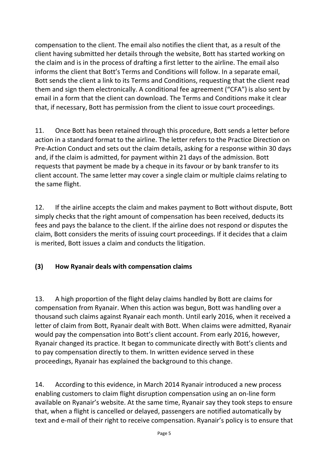compensation to the client. The email also notifies the client that, as a result of the client having submitted her details through the website, Bott has started working on the claim and is in the process of drafting a first letter to the airline. The email also informs the client that Bott's Terms and Conditions will follow. In a separate email, Bott sends the client a link to its Terms and Conditions, requesting that the client read them and sign them electronically. A conditional fee agreement ("CFA") is also sent by email in a form that the client can download. The Terms and Conditions make it clear that, if necessary, Bott has permission from the client to issue court proceedings.

11. Once Bott has been retained through this procedure, Bott sends a letter before action in a standard format to the airline. The letter refers to the Practice Direction on Pre-Action Conduct and sets out the claim details, asking for a response within 30 days and, if the claim is admitted, for payment within 21 days of the admission. Bott requests that payment be made by a cheque in its favour or by bank transfer to its client account. The same letter may cover a single claim or multiple claims relating to the same flight.

12. If the airline accepts the claim and makes payment to Bott without dispute, Bott simply checks that the right amount of compensation has been received, deducts its fees and pays the balance to the client. If the airline does not respond or disputes the claim, Bott considers the merits of issuing court proceedings. If it decides that a claim is merited, Bott issues a claim and conducts the litigation.

## **(3) How Ryanair deals with compensation claims**

13. A high proportion of the flight delay claims handled by Bott are claims for compensation from Ryanair. When this action was begun, Bott was handling over a thousand such claims against Ryanair each month. Until early 2016, when it received a letter of claim from Bott, Ryanair dealt with Bott. When claims were admitted, Ryanair would pay the compensation into Bott's client account. From early 2016, however, Ryanair changed its practice. It began to communicate directly with Bott's clients and to pay compensation directly to them. In written evidence served in these proceedings, Ryanair has explained the background to this change.

14. According to this evidence, in March 2014 Ryanair introduced a new process enabling customers to claim flight disruption compensation using an on-line form available on Ryanair's website. At the same time, Ryanair say they took steps to ensure that, when a flight is cancelled or delayed, passengers are notified automatically by text and e-mail of their right to receive compensation. Ryanair's policy is to ensure that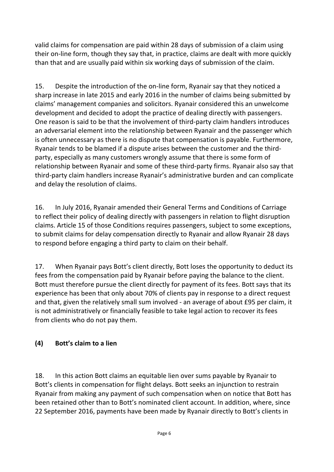valid claims for compensation are paid within 28 days of submission of a claim using their on-line form, though they say that, in practice, claims are dealt with more quickly than that and are usually paid within six working days of submission of the claim.

15. Despite the introduction of the on-line form, Ryanair say that they noticed a sharp increase in late 2015 and early 2016 in the number of claims being submitted by claims' management companies and solicitors. Ryanair considered this an unwelcome development and decided to adopt the practice of dealing directly with passengers. One reason is said to be that the involvement of third-party claim handlers introduces an adversarial element into the relationship between Ryanair and the passenger which is often unnecessary as there is no dispute that compensation is payable. Furthermore, Ryanair tends to be blamed if a dispute arises between the customer and the thirdparty, especially as many customers wrongly assume that there is some form of relationship between Ryanair and some of these third-party firms. Ryanair also say that third-party claim handlers increase Ryanair's administrative burden and can complicate and delay the resolution of claims.

16. In July 2016, Ryanair amended their General Terms and Conditions of Carriage to reflect their policy of dealing directly with passengers in relation to flight disruption claims. Article 15 of those Conditions requires passengers, subject to some exceptions, to submit claims for delay compensation directly to Ryanair and allow Ryanair 28 days to respond before engaging a third party to claim on their behalf.

17. When Ryanair pays Bott's client directly, Bott loses the opportunity to deduct its fees from the compensation paid by Ryanair before paying the balance to the client. Bott must therefore pursue the client directly for payment of its fees. Bott says that its experience has been that only about 70% of clients pay in response to a direct request and that, given the relatively small sum involved - an average of about £95 per claim, it is not administratively or financially feasible to take legal action to recover its fees from clients who do not pay them.

## **(4) Bott's claim to a lien**

18. In this action Bott claims an equitable lien over sums payable by Ryanair to Bott's clients in compensation for flight delays. Bott seeks an injunction to restrain Ryanair from making any payment of such compensation when on notice that Bott has been retained other than to Bott's nominated client account. In addition, where, since 22 September 2016, payments have been made by Ryanair directly to Bott's clients in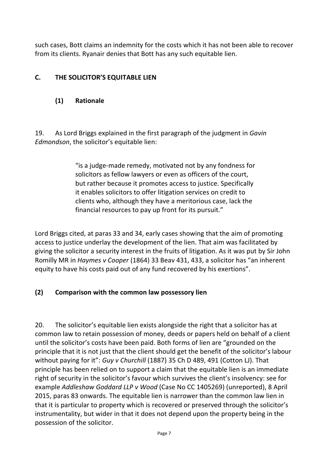such cases, Bott claims an indemnity for the costs which it has not been able to recover from its clients. Ryanair denies that Bott has any such equitable lien.

## **C. THE SOLICITOR'S EQUITABLE LIEN**

#### **(1) Rationale**

19. As Lord Briggs explained in the first paragraph of the judgment in *Gavin Edmondson*, the solicitor's equitable lien:

> "is a judge-made remedy, motivated not by any fondness for solicitors as fellow lawyers or even as officers of the court, but rather because it promotes access to justice. Specifically it enables solicitors to offer litigation services on credit to clients who, although they have a meritorious case, lack the financial resources to pay up front for its pursuit."

Lord Briggs cited, at paras 33 and 34, early cases showing that the aim of promoting access to justice underlay the development of the lien. That aim was facilitated by giving the solicitor a security interest in the fruits of litigation. As it was put by Sir John Romilly MR in *Haymes v Cooper* (1864) 33 Beav 431, 433, a solicitor has "an inherent equity to have his costs paid out of any fund recovered by his exertions".

## **(2) Comparison with the common law possessory lien**

20. The solicitor's equitable lien exists alongside the right that a solicitor has at common law to retain possession of money, deeds or papers held on behalf of a client until the solicitor's costs have been paid. Both forms of lien are "grounded on the principle that it is not just that the client should get the benefit of the solicitor's labour without paying for it": *Guy v Churchill* (1887) 35 Ch D 489, 491 (Cotton LJ). That principle has been relied on to support a claim that the equitable lien is an immediate right of security in the solicitor's favour which survives the client's insolvency: see for example *Addleshaw Goddard LLP v Wood* (Case No CC 1405269) (unreported), 8 April 2015, paras 83 onwards. The equitable lien is narrower than the common law lien in that it is particular to property which is recovered or preserved through the solicitor's instrumentality, but wider in that it does not depend upon the property being in the possession of the solicitor.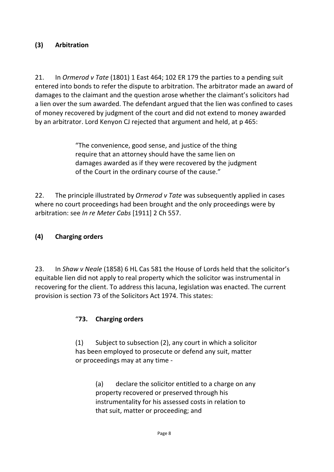## **(3) Arbitration**

21. In *Ormerod v Tate* (1801) 1 East 464; 102 ER 179 the parties to a pending suit entered into bonds to refer the dispute to arbitration. The arbitrator made an award of damages to the claimant and the question arose whether the claimant's solicitors had a lien over the sum awarded. The defendant argued that the lien was confined to cases of money recovered by judgment of the court and did not extend to money awarded by an arbitrator. Lord Kenyon CJ rejected that argument and held, at p 465:

> "The convenience, good sense, and justice of the thing require that an attorney should have the same lien on damages awarded as if they were recovered by the judgment of the Court in the ordinary course of the cause."

22. The principle illustrated by *Ormerod v Tate* was subsequently applied in cases where no court proceedings had been brought and the only proceedings were by arbitration: see *In re Meter Cabs* [1911] 2 Ch 557.

## **(4) Charging orders**

23. In *Shaw v Neale* (1858) 6 HL Cas 581 the House of Lords held that the solicitor's equitable lien did not apply to real property which the solicitor was instrumental in recovering for the client. To address this lacuna, legislation was enacted. The current provision is section 73 of the Solicitors Act 1974. This states:

## "**73. Charging orders**

(1) Subject to subsection (2), any court in which a solicitor has been employed to prosecute or defend any suit, matter or proceedings may at any time -

> (a) declare the solicitor entitled to a charge on any property recovered or preserved through his instrumentality for his assessed costs in relation to that suit, matter or proceeding; and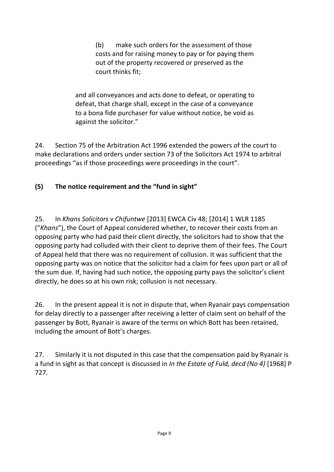(b) make such orders for the assessment of those costs and for raising money to pay or for paying them out of the property recovered or preserved as the court thinks fit;

and all conveyances and acts done to defeat, or operating to defeat, that charge shall, except in the case of a conveyance to a bona fide purchaser for value without notice, be void as against the solicitor."

24. Section 75 of the Arbitration Act 1996 extended the powers of the court to make declarations and orders under section 73 of the Solicitors Act 1974 to arbitral proceedings "as if those proceedings were proceedings in the court".

## **(5) The notice requirement and the "fund in sight"**

25. In *Khans Solicitors v Chifuntwe* [2013] EWCA Civ 48; [2014] 1 WLR 1185 ("*Khans*"), the Court of Appeal considered whether, to recover their costs from an opposing party who had paid their client directly, the solicitors had to show that the opposing party had colluded with their client to deprive them of their fees. The Court of Appeal held that there was no requirement of collusion. It was sufficient that the opposing party was on notice that the solicitor had a claim for fees upon part or all of the sum due. If, having had such notice, the opposing party pays the solicitor's client directly, he does so at his own risk; collusion is not necessary.

26. In the present appeal it is not in dispute that, when Ryanair pays compensation for delay directly to a passenger after receiving a letter of claim sent on behalf of the passenger by Bott, Ryanair is aware of the terms on which Bott has been retained, including the amount of Bott's charges.

27. Similarly it is not disputed in this case that the compensation paid by Ryanair is a fund in sight as that concept is discussed in *In the Estate of Fuld, decd (No 4)* [1968] P 727.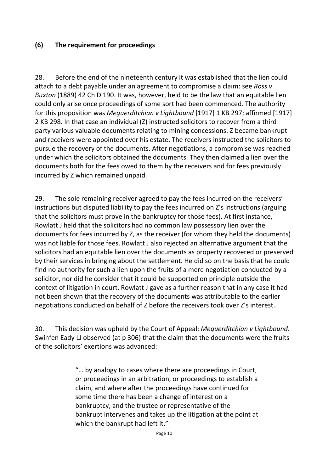#### **(6) The requirement for proceedings**

28. Before the end of the nineteenth century it was established that the lien could attach to a debt payable under an agreement to compromise a claim: see *Ross v Buxton* (1889) 42 Ch D 190. It was, however, held to be the law that an equitable lien could only arise once proceedings of some sort had been commenced. The authority for this proposition was *Meguerditchian v Lightbound* [1917] 1 KB 297; affirmed [1917] 2 KB 298. In that case an individual (Z) instructed solicitors to recover from a third party various valuable documents relating to mining concessions. Z became bankrupt and receivers were appointed over his estate. The receivers instructed the solicitors to pursue the recovery of the documents. After negotiations, a compromise was reached under which the solicitors obtained the documents. They then claimed a lien over the documents both for the fees owed to them by the receivers and for fees previously incurred by Z which remained unpaid.

29. The sole remaining receiver agreed to pay the fees incurred on the receivers' instructions but disputed liability to pay the fees incurred on Z's instructions (arguing that the solicitors must prove in the bankruptcy for those fees). At first instance, Rowlatt J held that the solicitors had no common law possessory lien over the documents for fees incurred by Z, as the receiver (for whom they held the documents) was not liable for those fees. Rowlatt J also rejected an alternative argument that the solicitors had an equitable lien over the documents as property recovered or preserved by their services in bringing about the settlement. He did so on the basis that he could find no authority for such a lien upon the fruits of a mere negotiation conducted by a solicitor, nor did he consider that it could be supported on principle outside the context of litigation in court. Rowlatt J gave as a further reason that in any case it had not been shown that the recovery of the documents was attributable to the earlier negotiations conducted on behalf of Z before the receivers took over Z's interest.

30. This decision was upheld by the Court of Appeal: *Meguerditchian v Lightbound*. Swinfen Eady LJ observed (at p 306) that the claim that the documents were the fruits of the solicitors' exertions was advanced:

> "… by analogy to cases where there are proceedings in Court, or proceedings in an arbitration, or proceedings to establish a claim, and where after the proceedings have continued for some time there has been a change of interest on a bankruptcy, and the trustee or representative of the bankrupt intervenes and takes up the litigation at the point at which the bankrupt had left it."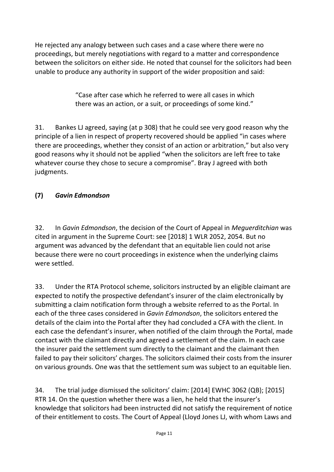He rejected any analogy between such cases and a case where there were no proceedings, but merely negotiations with regard to a matter and correspondence between the solicitors on either side. He noted that counsel for the solicitors had been unable to produce any authority in support of the wider proposition and said:

> "Case after case which he referred to were all cases in which there was an action, or a suit, or proceedings of some kind."

31. Bankes LJ agreed, saying (at p 308) that he could see very good reason why the principle of a lien in respect of property recovered should be applied "in cases where there are proceedings, whether they consist of an action or arbitration," but also very good reasons why it should not be applied "when the solicitors are left free to take whatever course they chose to secure a compromise". Bray J agreed with both judgments.

## **(7)** *Gavin Edmondson*

32. In *Gavin Edmondson*, the decision of the Court of Appeal in *Meguerditchian* was cited in argument in the Supreme Court: see [2018] 1 WLR 2052, 2054. But no argument was advanced by the defendant that an equitable lien could not arise because there were no court proceedings in existence when the underlying claims were settled.

33. Under the RTA Protocol scheme, solicitors instructed by an eligible claimant are expected to notify the prospective defendant's insurer of the claim electronically by submitting a claim notification form through a website referred to as the Portal. In each of the three cases considered in *Gavin Edmondson*, the solicitors entered the details of the claim into the Portal after they had concluded a CFA with the client. In each case the defendant's insurer, when notified of the claim through the Portal, made contact with the claimant directly and agreed a settlement of the claim. In each case the insurer paid the settlement sum directly to the claimant and the claimant then failed to pay their solicitors' charges. The solicitors claimed their costs from the insurer on various grounds. One was that the settlement sum was subject to an equitable lien.

34. The trial judge dismissed the solicitors' claim: [2014] EWHC 3062 (QB); [2015] RTR 14. On the question whether there was a lien, he held that the insurer's knowledge that solicitors had been instructed did not satisfy the requirement of notice of their entitlement to costs. The Court of Appeal (Lloyd Jones LJ, with whom Laws and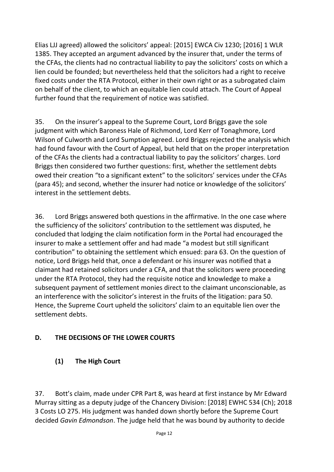Elias LJJ agreed) allowed the solicitors' appeal: [2015] EWCA Civ 1230; [2016] 1 WLR 1385. They accepted an argument advanced by the insurer that, under the terms of the CFAs, the clients had no contractual liability to pay the solicitors' costs on which a lien could be founded; but nevertheless held that the solicitors had a right to receive fixed costs under the RTA Protocol, either in their own right or as a subrogated claim on behalf of the client, to which an equitable lien could attach. The Court of Appeal further found that the requirement of notice was satisfied.

35. On the insurer's appeal to the Supreme Court, Lord Briggs gave the sole judgment with which Baroness Hale of Richmond, Lord Kerr of Tonaghmore, Lord Wilson of Culworth and Lord Sumption agreed. Lord Briggs rejected the analysis which had found favour with the Court of Appeal, but held that on the proper interpretation of the CFAs the clients had a contractual liability to pay the solicitors' charges. Lord Briggs then considered two further questions: first, whether the settlement debts owed their creation "to a significant extent" to the solicitors' services under the CFAs (para 45); and second, whether the insurer had notice or knowledge of the solicitors' interest in the settlement debts.

36. Lord Briggs answered both questions in the affirmative. In the one case where the sufficiency of the solicitors' contribution to the settlement was disputed, he concluded that lodging the claim notification form in the Portal had encouraged the insurer to make a settlement offer and had made "a modest but still significant contribution" to obtaining the settlement which ensued: para 63. On the question of notice, Lord Briggs held that, once a defendant or his insurer was notified that a claimant had retained solicitors under a CFA, and that the solicitors were proceeding under the RTA Protocol, they had the requisite notice and knowledge to make a subsequent payment of settlement monies direct to the claimant unconscionable, as an interference with the solicitor's interest in the fruits of the litigation: para 50. Hence, the Supreme Court upheld the solicitors' claim to an equitable lien over the settlement debts.

## **D. THE DECISIONS OF THE LOWER COURTS**

## **(1) The High Court**

37. Bott's claim, made under CPR Part 8, was heard at first instance by Mr Edward Murray sitting as a deputy judge of the Chancery Division: [2018] EWHC 534 (Ch); 2018 3 Costs LO 275. His judgment was handed down shortly before the Supreme Court decided *Gavin Edmondson*. The judge held that he was bound by authority to decide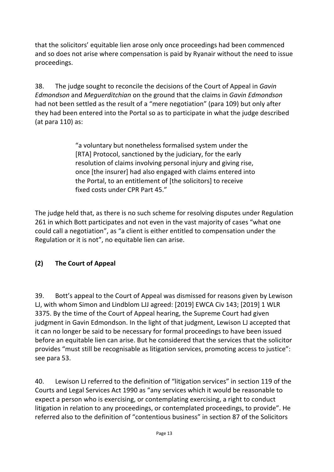that the solicitors' equitable lien arose only once proceedings had been commenced and so does not arise where compensation is paid by Ryanair without the need to issue proceedings.

38. The judge sought to reconcile the decisions of the Court of Appeal in *Gavin Edmondson* and *Meguerditchian* on the ground that the claims in *Gavin Edmondson* had not been settled as the result of a "mere negotiation" (para 109) but only after they had been entered into the Portal so as to participate in what the judge described (at para 110) as:

> "a voluntary but nonetheless formalised system under the [RTA] Protocol, sanctioned by the judiciary, for the early resolution of claims involving personal injury and giving rise, once [the insurer] had also engaged with claims entered into the Portal, to an entitlement of [the solicitors] to receive fixed costs under CPR Part 45."

The judge held that, as there is no such scheme for resolving disputes under Regulation 261 in which Bott participates and not even in the vast majority of cases "what one could call a negotiation", as "a client is either entitled to compensation under the Regulation or it is not", no equitable lien can arise.

## **(2) The Court of Appeal**

39. Bott's appeal to the Court of Appeal was dismissed for reasons given by Lewison LJ, with whom Simon and Lindblom LJJ agreed: [2019] EWCA Civ 143; [2019] 1 WLR 3375. By the time of the Court of Appeal hearing, the Supreme Court had given judgment in Gavin Edmondson. In the light of that judgment, Lewison LJ accepted that it can no longer be said to be necessary for formal proceedings to have been issued before an equitable lien can arise. But he considered that the services that the solicitor provides "must still be recognisable as litigation services, promoting access to justice": see para 53.

40. Lewison LJ referred to the definition of "litigation services" in section 119 of the Courts and Legal Services Act 1990 as "any services which it would be reasonable to expect a person who is exercising, or contemplating exercising, a right to conduct litigation in relation to any proceedings, or contemplated proceedings, to provide". He referred also to the definition of "contentious business" in section 87 of the Solicitors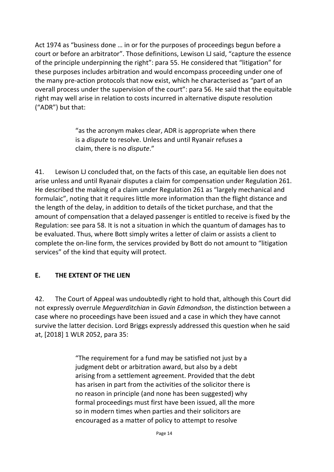Act 1974 as "business done … in or for the purposes of proceedings begun before a court or before an arbitrator". Those definitions, Lewison LJ said, "capture the essence of the principle underpinning the right": para 55. He considered that "litigation" for these purposes includes arbitration and would encompass proceeding under one of the many pre-action protocols that now exist, which he characterised as "part of an overall process under the supervision of the court": para 56. He said that the equitable right may well arise in relation to costs incurred in alternative dispute resolution ("ADR") but that:

> "as the acronym makes clear, ADR is appropriate when there is a *dispute* to resolve. Unless and until Ryanair refuses a claim, there is no *dispute*."

41. Lewison LJ concluded that, on the facts of this case, an equitable lien does not arise unless and until Ryanair disputes a claim for compensation under Regulation 261. He described the making of a claim under Regulation 261 as "largely mechanical and formulaic", noting that it requires little more information than the flight distance and the length of the delay, in addition to details of the ticket purchase, and that the amount of compensation that a delayed passenger is entitled to receive is fixed by the Regulation: see para 58. It is not a situation in which the quantum of damages has to be evaluated. Thus, where Bott simply writes a letter of claim or assists a client to complete the on-line form, the services provided by Bott do not amount to "litigation services" of the kind that equity will protect.

## **E. THE EXTENT OF THE LIEN**

42. The Court of Appeal was undoubtedly right to hold that, although this Court did not expressly overrule *Meguerditchian* in *Gavin Edmondson*, the distinction between a case where no proceedings have been issued and a case in which they have cannot survive the latter decision. Lord Briggs expressly addressed this question when he said at, [2018] 1 WLR 2052, para 35:

> "The requirement for a fund may be satisfied not just by a judgment debt or arbitration award, but also by a debt arising from a settlement agreement. Provided that the debt has arisen in part from the activities of the solicitor there is no reason in principle (and none has been suggested) why formal proceedings must first have been issued, all the more so in modern times when parties and their solicitors are encouraged as a matter of policy to attempt to resolve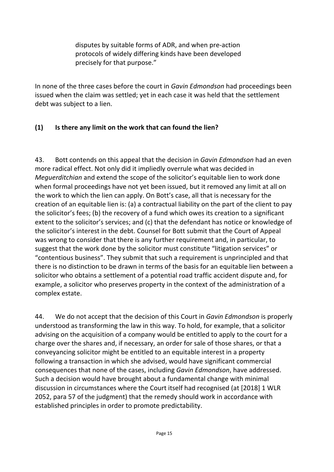disputes by suitable forms of ADR, and when pre-action protocols of widely differing kinds have been developed precisely for that purpose."

In none of the three cases before the court in *Gavin Edmondson* had proceedings been issued when the claim was settled; yet in each case it was held that the settlement debt was subject to a lien.

## **(1) Is there any limit on the work that can found the lien?**

43. Bott contends on this appeal that the decision in *Gavin Edmondson* had an even more radical effect. Not only did it impliedly overrule what was decided in *Meguerditchian* and extend the scope of the solicitor's equitable lien to work done when formal proceedings have not yet been issued, but it removed any limit at all on the work to which the lien can apply. On Bott's case, all that is necessary for the creation of an equitable lien is: (a) a contractual liability on the part of the client to pay the solicitor's fees; (b) the recovery of a fund which owes its creation to a significant extent to the solicitor's services; and (c) that the defendant has notice or knowledge of the solicitor's interest in the debt. Counsel for Bott submit that the Court of Appeal was wrong to consider that there is any further requirement and, in particular, to suggest that the work done by the solicitor must constitute "litigation services" or "contentious business". They submit that such a requirement is unprincipled and that there is no distinction to be drawn in terms of the basis for an equitable lien between a solicitor who obtains a settlement of a potential road traffic accident dispute and, for example, a solicitor who preserves property in the context of the administration of a complex estate.

44. We do not accept that the decision of this Court in *Gavin Edmondson* is properly understood as transforming the law in this way. To hold, for example, that a solicitor advising on the acquisition of a company would be entitled to apply to the court for a charge over the shares and, if necessary, an order for sale of those shares, or that a conveyancing solicitor might be entitled to an equitable interest in a property following a transaction in which she advised, would have significant commercial consequences that none of the cases, including *Gavin Edmondson*, have addressed. Such a decision would have brought about a fundamental change with minimal discussion in circumstances where the Court itself had recognised (at [2018] 1 WLR 2052, para 57 of the judgment) that the remedy should work in accordance with established principles in order to promote predictability.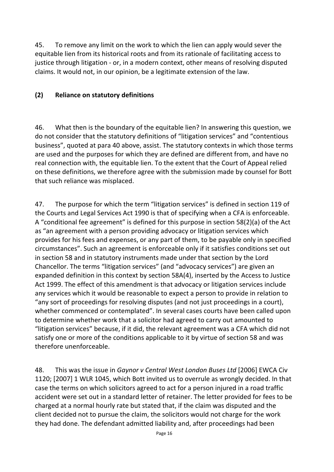45. To remove any limit on the work to which the lien can apply would sever the equitable lien from its historical roots and from its rationale of facilitating access to justice through litigation - or, in a modern context, other means of resolving disputed claims. It would not, in our opinion, be a legitimate extension of the law.

#### **(2) Reliance on statutory definitions**

46. What then is the boundary of the equitable lien? In answering this question, we do not consider that the statutory definitions of "litigation services" and "contentious business", quoted at para 40 above, assist. The statutory contexts in which those terms are used and the purposes for which they are defined are different from, and have no real connection with, the equitable lien. To the extent that the Court of Appeal relied on these definitions, we therefore agree with the submission made by counsel for Bott that such reliance was misplaced.

47. The purpose for which the term "litigation services" is defined in section 119 of the Courts and Legal Services Act 1990 is that of specifying when a CFA is enforceable. A "conditional fee agreement" is defined for this purpose in section 58(2)(a) of the Act as "an agreement with a person providing advocacy or litigation services which provides for his fees and expenses, or any part of them, to be payable only in specified circumstances". Such an agreement is enforceable only if it satisfies conditions set out in section 58 and in statutory instruments made under that section by the Lord Chancellor. The terms "litigation services" (and "advocacy services") are given an expanded definition in this context by section 58A(4), inserted by the Access to Justice Act 1999. The effect of this amendment is that advocacy or litigation services include any services which it would be reasonable to expect a person to provide in relation to "any sort of proceedings for resolving disputes (and not just proceedings in a court), whether commenced or contemplated". In several cases courts have been called upon to determine whether work that a solicitor had agreed to carry out amounted to "litigation services" because, if it did, the relevant agreement was a CFA which did not satisfy one or more of the conditions applicable to it by virtue of section 58 and was therefore unenforceable.

48. This was the issue in *Gaynor v Central West London Buses Ltd* [2006] EWCA Civ 1120; [2007] 1 WLR 1045, which Bott invited us to overrule as wrongly decided. In that case the terms on which solicitors agreed to act for a person injured in a road traffic accident were set out in a standard letter of retainer. The letter provided for fees to be charged at a normal hourly rate but stated that, if the claim was disputed and the client decided not to pursue the claim, the solicitors would not charge for the work they had done. The defendant admitted liability and, after proceedings had been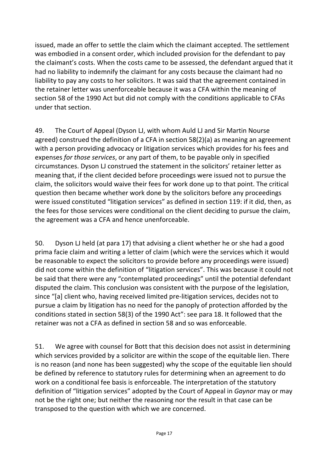issued, made an offer to settle the claim which the claimant accepted. The settlement was embodied in a consent order, which included provision for the defendant to pay the claimant's costs. When the costs came to be assessed, the defendant argued that it had no liability to indemnify the claimant for any costs because the claimant had no liability to pay any costs to her solicitors. It was said that the agreement contained in the retainer letter was unenforceable because it was a CFA within the meaning of section 58 of the 1990 Act but did not comply with the conditions applicable to CFAs under that section.

49. The Court of Appeal (Dyson LJ, with whom Auld LJ and Sir Martin Nourse agreed) construed the definition of a CFA in section 58(2)(a) as meaning an agreement with a person providing advocacy or litigation services which provides for his fees and expenses *for those services*, or any part of them, to be payable only in specified circumstances. Dyson LJ construed the statement in the solicitors' retainer letter as meaning that, if the client decided before proceedings were issued not to pursue the claim, the solicitors would waive their fees for work done up to that point. The critical question then became whether work done by the solicitors before any proceedings were issued constituted "litigation services" as defined in section 119: if it did, then, as the fees for those services were conditional on the client deciding to pursue the claim, the agreement was a CFA and hence unenforceable.

50. Dyson LJ held (at para 17) that advising a client whether he or she had a good prima facie claim and writing a letter of claim (which were the services which it would be reasonable to expect the solicitors to provide before any proceedings were issued) did not come within the definition of "litigation services". This was because it could not be said that there were any "contemplated proceedings" until the potential defendant disputed the claim. This conclusion was consistent with the purpose of the legislation, since "[a] client who, having received limited pre-litigation services, decides not to pursue a claim by litigation has no need for the panoply of protection afforded by the conditions stated in section 58(3) of the 1990 Act": see para 18. It followed that the retainer was not a CFA as defined in section 58 and so was enforceable.

51. We agree with counsel for Bott that this decision does not assist in determining which services provided by a solicitor are within the scope of the equitable lien. There is no reason (and none has been suggested) why the scope of the equitable lien should be defined by reference to statutory rules for determining when an agreement to do work on a conditional fee basis is enforceable. The interpretation of the statutory definition of "litigation services" adopted by the Court of Appeal in *Gaynor* may or may not be the right one; but neither the reasoning nor the result in that case can be transposed to the question with which we are concerned.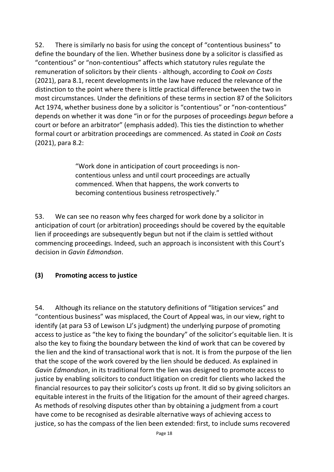52. There is similarly no basis for using the concept of "contentious business" to define the boundary of the lien. Whether business done by a solicitor is classified as "contentious" or "non-contentious" affects which statutory rules regulate the remuneration of solicitors by their clients - although, according to *Cook on Costs* (2021), para 8.1, recent developments in the law have reduced the relevance of the distinction to the point where there is little practical difference between the two in most circumstances. Under the definitions of these terms in section 87 of the Solicitors Act 1974, whether business done by a solicitor is "contentious" or "non-contentious" depends on whether it was done "in or for the purposes of proceedings *begun* before a court or before an arbitrator" (emphasis added). This ties the distinction to whether formal court or arbitration proceedings are commenced. As stated in *Cook on Costs* (2021), para 8.2:

> "Work done in anticipation of court proceedings is noncontentious unless and until court proceedings are actually commenced. When that happens, the work converts to becoming contentious business retrospectively."

53. We can see no reason why fees charged for work done by a solicitor in anticipation of court (or arbitration) proceedings should be covered by the equitable lien if proceedings are subsequently begun but not if the claim is settled without commencing proceedings. Indeed, such an approach is inconsistent with this Court's decision in *Gavin Edmondson*.

#### **(3) Promoting access to justice**

54. Although its reliance on the statutory definitions of "litigation services" and "contentious business" was misplaced, the Court of Appeal was, in our view, right to identify (at para 53 of Lewison LJ's judgment) the underlying purpose of promoting access to justice as "the key to fixing the boundary" of the solicitor's equitable lien. It is also the key to fixing the boundary between the kind of work that can be covered by the lien and the kind of transactional work that is not. It is from the purpose of the lien that the scope of the work covered by the lien should be deduced. As explained in *Gavin Edmondson*, in its traditional form the lien was designed to promote access to justice by enabling solicitors to conduct litigation on credit for clients who lacked the financial resources to pay their solicitor's costs up front. It did so by giving solicitors an equitable interest in the fruits of the litigation for the amount of their agreed charges. As methods of resolving disputes other than by obtaining a judgment from a court have come to be recognised as desirable alternative ways of achieving access to justice, so has the compass of the lien been extended: first, to include sums recovered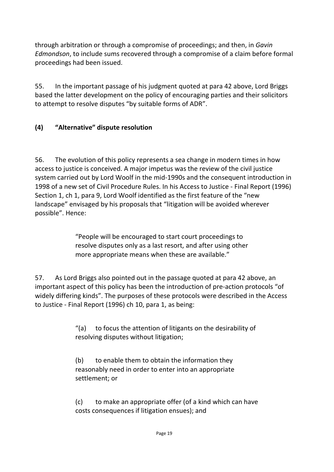through arbitration or through a compromise of proceedings; and then, in *Gavin Edmondson*, to include sums recovered through a compromise of a claim before formal proceedings had been issued.

55. In the important passage of his judgment quoted at para 42 above, Lord Briggs based the latter development on the policy of encouraging parties and their solicitors to attempt to resolve disputes "by suitable forms of ADR".

## **(4) "Alternative" dispute resolution**

56. The evolution of this policy represents a sea change in modern times in how access to justice is conceived. A major impetus was the review of the civil justice system carried out by Lord Woolf in the mid-1990s and the consequent introduction in 1998 of a new set of Civil Procedure Rules. In his Access to Justice - Final Report (1996) Section 1, ch 1, para 9, Lord Woolf identified as the first feature of the "new landscape" envisaged by his proposals that "litigation will be avoided wherever possible". Hence:

> "People will be encouraged to start court proceedings to resolve disputes only as a last resort, and after using other more appropriate means when these are available."

57. As Lord Briggs also pointed out in the passage quoted at para 42 above, an important aspect of this policy has been the introduction of pre-action protocols "of widely differing kinds". The purposes of these protocols were described in the Access to Justice - Final Report (1996) ch 10, para 1, as being:

> "(a) to focus the attention of litigants on the desirability of resolving disputes without litigation;

(b) to enable them to obtain the information they reasonably need in order to enter into an appropriate settlement; or

(c) to make an appropriate offer (of a kind which can have costs consequences if litigation ensues); and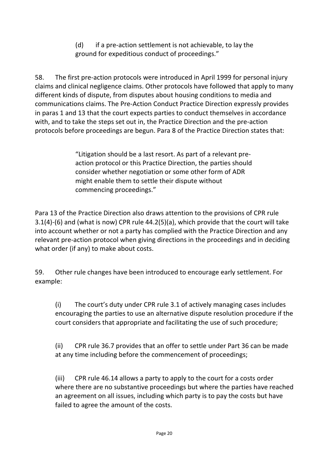(d) if a pre-action settlement is not achievable, to lay the ground for expeditious conduct of proceedings."

58. The first pre-action protocols were introduced in April 1999 for personal injury claims and clinical negligence claims. Other protocols have followed that apply to many different kinds of dispute, from disputes about housing conditions to media and communications claims. The Pre-Action Conduct Practice Direction expressly provides in paras 1 and 13 that the court expects parties to conduct themselves in accordance with, and to take the steps set out in, the Practice Direction and the pre-action protocols before proceedings are begun. Para 8 of the Practice Direction states that:

> "Litigation should be a last resort. As part of a relevant preaction protocol or this Practice Direction, the parties should consider whether negotiation or some other form of ADR might enable them to settle their dispute without commencing proceedings."

Para 13 of the Practice Direction also draws attention to the provisions of CPR rule 3.1(4)-(6) and (what is now) CPR rule 44.2(5)(a), which provide that the court will take into account whether or not a party has complied with the Practice Direction and any relevant pre-action protocol when giving directions in the proceedings and in deciding what order (if any) to make about costs.

59. Other rule changes have been introduced to encourage early settlement. For example:

(i) The court's duty under CPR rule 3.1 of actively managing cases includes encouraging the parties to use an alternative dispute resolution procedure if the court considers that appropriate and facilitating the use of such procedure;

(ii) CPR rule 36.7 provides that an offer to settle under Part 36 can be made at any time including before the commencement of proceedings;

(iii) CPR rule 46.14 allows a party to apply to the court for a costs order where there are no substantive proceedings but where the parties have reached an agreement on all issues, including which party is to pay the costs but have failed to agree the amount of the costs.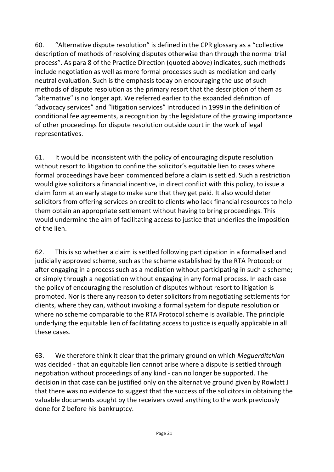60. "Alternative dispute resolution" is defined in the CPR glossary as a "collective description of methods of resolving disputes otherwise than through the normal trial process". As para 8 of the Practice Direction (quoted above) indicates, such methods include negotiation as well as more formal processes such as mediation and early neutral evaluation. Such is the emphasis today on encouraging the use of such methods of dispute resolution as the primary resort that the description of them as "alternative" is no longer apt. We referred earlier to the expanded definition of "advocacy services" and "litigation services" introduced in 1999 in the definition of conditional fee agreements, a recognition by the legislature of the growing importance of other proceedings for dispute resolution outside court in the work of legal representatives.

61. It would be inconsistent with the policy of encouraging dispute resolution without resort to litigation to confine the solicitor's equitable lien to cases where formal proceedings have been commenced before a claim is settled. Such a restriction would give solicitors a financial incentive, in direct conflict with this policy, to issue a claim form at an early stage to make sure that they get paid. It also would deter solicitors from offering services on credit to clients who lack financial resources to help them obtain an appropriate settlement without having to bring proceedings. This would undermine the aim of facilitating access to justice that underlies the imposition of the lien.

62. This is so whether a claim is settled following participation in a formalised and judicially approved scheme, such as the scheme established by the RTA Protocol; or after engaging in a process such as a mediation without participating in such a scheme; or simply through a negotiation without engaging in any formal process. In each case the policy of encouraging the resolution of disputes without resort to litigation is promoted. Nor is there any reason to deter solicitors from negotiating settlements for clients, where they can, without invoking a formal system for dispute resolution or where no scheme comparable to the RTA Protocol scheme is available. The principle underlying the equitable lien of facilitating access to justice is equally applicable in all these cases.

63. We therefore think it clear that the primary ground on which *Meguerditchian*  was decided - that an equitable lien cannot arise where a dispute is settled through negotiation without proceedings of any kind - can no longer be supported. The decision in that case can be justified only on the alternative ground given by Rowlatt J that there was no evidence to suggest that the success of the solicitors in obtaining the valuable documents sought by the receivers owed anything to the work previously done for Z before his bankruptcy.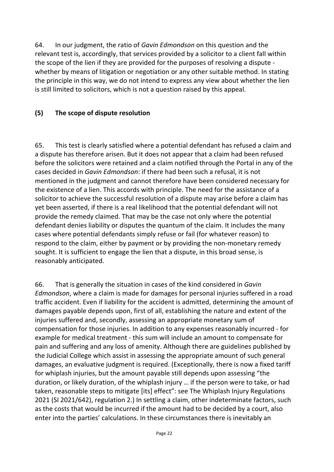64. In our judgment, the ratio of *Gavin Edmondson* on this question and the relevant test is, accordingly, that services provided by a solicitor to a client fall within the scope of the lien if they are provided for the purposes of resolving a dispute whether by means of litigation or negotiation or any other suitable method. In stating the principle in this way, we do not intend to express any view about whether the lien is still limited to solicitors, which is not a question raised by this appeal.

#### **(5) The scope of dispute resolution**

65. This test is clearly satisfied where a potential defendant has refused a claim and a dispute has therefore arisen. But it does not appear that a claim had been refused before the solicitors were retained and a claim notified through the Portal in any of the cases decided in *Gavin Edmondson*: if there had been such a refusal, it is not mentioned in the judgment and cannot therefore have been considered necessary for the existence of a lien. This accords with principle. The need for the assistance of a solicitor to achieve the successful resolution of a dispute may arise before a claim has yet been asserted, if there is a real likelihood that the potential defendant will not provide the remedy claimed. That may be the case not only where the potential defendant denies liability or disputes the quantum of the claim. It includes the many cases where potential defendants simply refuse or fail (for whatever reason) to respond to the claim, either by payment or by providing the non-monetary remedy sought. It is sufficient to engage the lien that a dispute, in this broad sense, is reasonably anticipated.

66. That is generally the situation in cases of the kind considered in *Gavin Edmondson*, where a claim is made for damages for personal injuries suffered in a road traffic accident. Even if liability for the accident is admitted, determining the amount of damages payable depends upon, first of all, establishing the nature and extent of the injuries suffered and, secondly, assessing an appropriate monetary sum of compensation for those injuries. In addition to any expenses reasonably incurred - for example for medical treatment - this sum will include an amount to compensate for pain and suffering and any loss of amenity. Although there are guidelines published by the Judicial College which assist in assessing the appropriate amount of such general damages, an evaluative judgment is required. (Exceptionally, there is now a fixed tariff for whiplash injuries, but the amount payable still depends upon assessing "the duration, or likely duration, of the whiplash injury … if the person were to take, or had taken, reasonable steps to mitigate [its] effect": see The Whiplash Injury Regulations 2021 (SI 2021/642), regulation 2.) In settling a claim, other indeterminate factors, such as the costs that would be incurred if the amount had to be decided by a court, also enter into the parties' calculations. In these circumstances there is inevitably an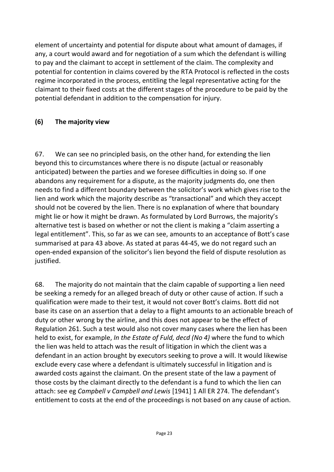element of uncertainty and potential for dispute about what amount of damages, if any, a court would award and for negotiation of a sum which the defendant is willing to pay and the claimant to accept in settlement of the claim. The complexity and potential for contention in claims covered by the RTA Protocol is reflected in the costs regime incorporated in the process, entitling the legal representative acting for the claimant to their fixed costs at the different stages of the procedure to be paid by the potential defendant in addition to the compensation for injury.

## **(6) The majority view**

67. We can see no principled basis, on the other hand, for extending the lien beyond this to circumstances where there is no dispute (actual or reasonably anticipated) between the parties and we foresee difficulties in doing so. If one abandons any requirement for a dispute, as the majority judgments do, one then needs to find a different boundary between the solicitor's work which gives rise to the lien and work which the majority describe as "transactional" and which they accept should not be covered by the lien. There is no explanation of where that boundary might lie or how it might be drawn. As formulated by Lord Burrows, the majority's alternative test is based on whether or not the client is making a "claim asserting a legal entitlement". This, so far as we can see, amounts to an acceptance of Bott's case summarised at para 43 above. As stated at paras 44-45, we do not regard such an open-ended expansion of the solicitor's lien beyond the field of dispute resolution as justified.

68. The majority do not maintain that the claim capable of supporting a lien need be seeking a remedy for an alleged breach of duty or other cause of action. If such a qualification were made to their test, it would not cover Bott's claims. Bott did not base its case on an assertion that a delay to a flight amounts to an actionable breach of duty or other wrong by the airline, and this does not appear to be the effect of Regulation 261. Such a test would also not cover many cases where the lien has been held to exist, for example, *In the Estate of Fuld, decd (No 4)* where the fund to which the lien was held to attach was the result of litigation in which the client was a defendant in an action brought by executors seeking to prove a will. It would likewise exclude every case where a defendant is ultimately successful in litigation and is awarded costs against the claimant. On the present state of the law a payment of those costs by the claimant directly to the defendant is a fund to which the lien can attach: see eg *Campbell v Campbell and Lewis* [1941] 1 All ER 274. The defendant's entitlement to costs at the end of the proceedings is not based on any cause of action.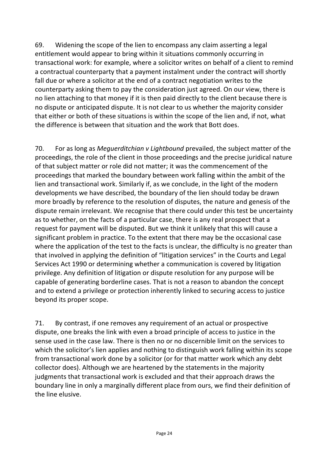69. Widening the scope of the lien to encompass any claim asserting a legal entitlement would appear to bring within it situations commonly occurring in transactional work: for example, where a solicitor writes on behalf of a client to remind a contractual counterparty that a payment instalment under the contract will shortly fall due or where a solicitor at the end of a contract negotiation writes to the counterparty asking them to pay the consideration just agreed. On our view, there is no lien attaching to that money if it is then paid directly to the client because there is no dispute or anticipated dispute. It is not clear to us whether the majority consider that either or both of these situations is within the scope of the lien and, if not, what the difference is between that situation and the work that Bott does.

70. For as long as *Meguerditchian v Lightbound* prevailed, the subject matter of the proceedings, the role of the client in those proceedings and the precise juridical nature of that subject matter or role did not matter; it was the commencement of the proceedings that marked the boundary between work falling within the ambit of the lien and transactional work. Similarly if, as we conclude, in the light of the modern developments we have described, the boundary of the lien should today be drawn more broadly by reference to the resolution of disputes, the nature and genesis of the dispute remain irrelevant. We recognise that there could under this test be uncertainty as to whether, on the facts of a particular case, there is any real prospect that a request for payment will be disputed. But we think it unlikely that this will cause a significant problem in practice. To the extent that there may be the occasional case where the application of the test to the facts is unclear, the difficulty is no greater than that involved in applying the definition of "litigation services" in the Courts and Legal Services Act 1990 or determining whether a communication is covered by litigation privilege. Any definition of litigation or dispute resolution for any purpose will be capable of generating borderline cases. That is not a reason to abandon the concept and to extend a privilege or protection inherently linked to securing access to justice beyond its proper scope.

71. By contrast, if one removes any requirement of an actual or prospective dispute, one breaks the link with even a broad principle of access to justice in the sense used in the case law. There is then no or no discernible limit on the services to which the solicitor's lien applies and nothing to distinguish work falling within its scope from transactional work done by a solicitor (or for that matter work which any debt collector does). Although we are heartened by the statements in the majority judgments that transactional work is excluded and that their approach draws the boundary line in only a marginally different place from ours, we find their definition of the line elusive.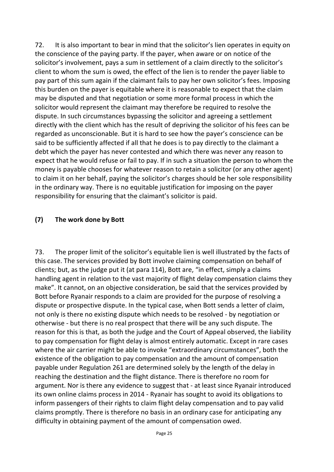72. It is also important to bear in mind that the solicitor's lien operates in equity on the conscience of the paying party. If the payer, when aware or on notice of the solicitor's involvement, pays a sum in settlement of a claim directly to the solicitor's client to whom the sum is owed, the effect of the lien is to render the payer liable to pay part of this sum again if the claimant fails to pay her own solicitor's fees. Imposing this burden on the payer is equitable where it is reasonable to expect that the claim may be disputed and that negotiation or some more formal process in which the solicitor would represent the claimant may therefore be required to resolve the dispute. In such circumstances bypassing the solicitor and agreeing a settlement directly with the client which has the result of depriving the solicitor of his fees can be regarded as unconscionable. But it is hard to see how the payer's conscience can be said to be sufficiently affected if all that he does is to pay directly to the claimant a debt which the payer has never contested and which there was never any reason to expect that he would refuse or fail to pay. If in such a situation the person to whom the money is payable chooses for whatever reason to retain a solicitor (or any other agent) to claim it on her behalf, paying the solicitor's charges should be her sole responsibility in the ordinary way. There is no equitable justification for imposing on the payer responsibility for ensuring that the claimant's solicitor is paid.

#### **(7) The work done by Bott**

73. The proper limit of the solicitor's equitable lien is well illustrated by the facts of this case. The services provided by Bott involve claiming compensation on behalf of clients; but, as the judge put it (at para 114), Bott are, "in effect, simply a claims handling agent in relation to the vast majority of flight delay compensation claims they make". It cannot, on an objective consideration, be said that the services provided by Bott before Ryanair responds to a claim are provided for the purpose of resolving a dispute or prospective dispute. In the typical case, when Bott sends a letter of claim, not only is there no existing dispute which needs to be resolved - by negotiation or otherwise - but there is no real prospect that there will be any such dispute. The reason for this is that, as both the judge and the Court of Appeal observed, the liability to pay compensation for flight delay is almost entirely automatic. Except in rare cases where the air carrier might be able to invoke "extraordinary circumstances", both the existence of the obligation to pay compensation and the amount of compensation payable under Regulation 261 are determined solely by the length of the delay in reaching the destination and the flight distance. There is therefore no room for argument. Nor is there any evidence to suggest that - at least since Ryanair introduced its own online claims process in 2014 - Ryanair has sought to avoid its obligations to inform passengers of their rights to claim flight delay compensation and to pay valid claims promptly. There is therefore no basis in an ordinary case for anticipating any difficulty in obtaining payment of the amount of compensation owed.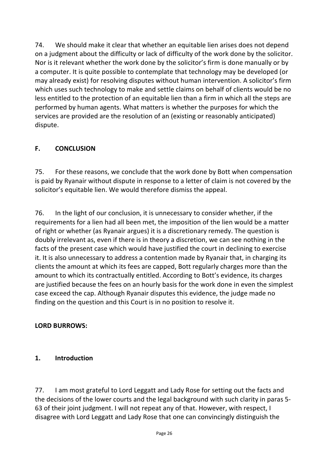74. We should make it clear that whether an equitable lien arises does not depend on a judgment about the difficulty or lack of difficulty of the work done by the solicitor. Nor is it relevant whether the work done by the solicitor's firm is done manually or by a computer. It is quite possible to contemplate that technology may be developed (or may already exist) for resolving disputes without human intervention. A solicitor's firm which uses such technology to make and settle claims on behalf of clients would be no less entitled to the protection of an equitable lien than a firm in which all the steps are performed by human agents. What matters is whether the purposes for which the services are provided are the resolution of an (existing or reasonably anticipated) dispute.

## **F. CONCLUSION**

75. For these reasons, we conclude that the work done by Bott when compensation is paid by Ryanair without dispute in response to a letter of claim is not covered by the solicitor's equitable lien. We would therefore dismiss the appeal.

76. In the light of our conclusion, it is unnecessary to consider whether, if the requirements for a lien had all been met, the imposition of the lien would be a matter of right or whether (as Ryanair argues) it is a discretionary remedy. The question is doubly irrelevant as, even if there is in theory a discretion, we can see nothing in the facts of the present case which would have justified the court in declining to exercise it. It is also unnecessary to address a contention made by Ryanair that, in charging its clients the amount at which its fees are capped, Bott regularly charges more than the amount to which its contractually entitled. According to Bott's evidence, its charges are justified because the fees on an hourly basis for the work done in even the simplest case exceed the cap. Although Ryanair disputes this evidence, the judge made no finding on the question and this Court is in no position to resolve it.

## **LORD BURROWS:**

## **1. Introduction**

77. I am most grateful to Lord Leggatt and Lady Rose for setting out the facts and the decisions of the lower courts and the legal background with such clarity in paras 5- 63 of their joint judgment. I will not repeat any of that. However, with respect, I disagree with Lord Leggatt and Lady Rose that one can convincingly distinguish the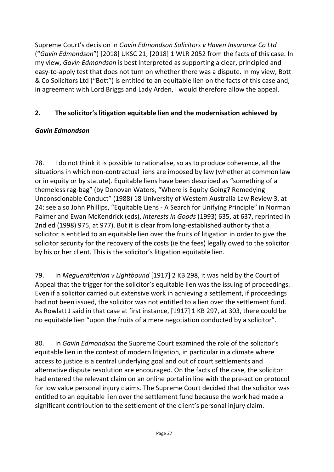Supreme Court's decision in *Gavin Edmondson Solicitors v Haven Insurance Co Ltd* ("*Gavin Edmondson*") [2018] UKSC 21; [2018] 1 WLR 2052 from the facts of this case. In my view, *Gavin Edmondson* is best interpreted as supporting a clear, principled and easy-to-apply test that does not turn on whether there was a dispute. In my view, Bott & Co Solicitors Ltd ("Bott") is entitled to an equitable lien on the facts of this case and, in agreement with Lord Briggs and Lady Arden, I would therefore allow the appeal.

## **2. The solicitor's litigation equitable lien and the modernisation achieved by**

## *Gavin Edmondson*

78. I do not think it is possible to rationalise, so as to produce coherence, all the situations in which non-contractual liens are imposed by law (whether at common law or in equity or by statute). Equitable liens have been described as "something of a themeless rag-bag" (by Donovan Waters, "Where is Equity Going? Remedying Unconscionable Conduct" (1988) 18 University of Western Australia Law Review 3, at 24: see also John Phillips, "Equitable Liens - A Search for Unifying Principle" in Norman Palmer and Ewan McKendrick (eds), *Interests in Goods* (1993) 635, at 637, reprinted in 2nd ed (1998) 975, at 977). But it is clear from long-established authority that a solicitor is entitled to an equitable lien over the fruits of litigation in order to give the solicitor security for the recovery of the costs (ie the fees) legally owed to the solicitor by his or her client. This is the solicitor's litigation equitable lien.

79. In *Meguerditchian v Lightbound* [1917] 2 KB 298, it was held by the Court of Appeal that the trigger for the solicitor's equitable lien was the issuing of proceedings. Even if a solicitor carried out extensive work in achieving a settlement, if proceedings had not been issued, the solicitor was not entitled to a lien over the settlement fund. As Rowlatt J said in that case at first instance, [1917] 1 KB 297, at 303, there could be no equitable lien "upon the fruits of a mere negotiation conducted by a solicitor".

80. In *Gavin Edmondson* the Supreme Court examined the role of the solicitor's equitable lien in the context of modern litigation, in particular in a climate where access to justice is a central underlying goal and out of court settlements and alternative dispute resolution are encouraged. On the facts of the case, the solicitor had entered the relevant claim on an online portal in line with the pre-action protocol for low value personal injury claims. The Supreme Court decided that the solicitor was entitled to an equitable lien over the settlement fund because the work had made a significant contribution to the settlement of the client's personal injury claim.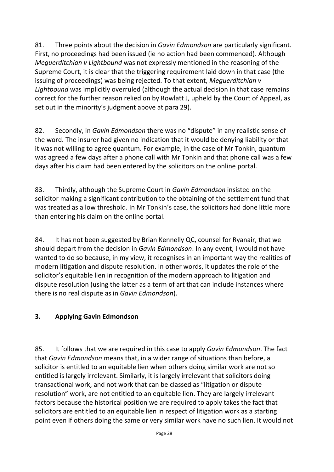81. Three points about the decision in *Gavin Edmondson* are particularly significant. First, no proceedings had been issued (ie no action had been commenced). Although *Meguerditchian v Lightbound* was not expressly mentioned in the reasoning of the Supreme Court, it is clear that the triggering requirement laid down in that case (the issuing of proceedings) was being rejected. To that extent, *Meguerditchian v Lightbound* was implicitly overruled (although the actual decision in that case remains correct for the further reason relied on by Rowlatt J, upheld by the Court of Appeal, as set out in the minority's judgment above at para 29).

82. Secondly, in *Gavin Edmondson* there was no "dispute" in any realistic sense of the word. The insurer had given no indication that it would be denying liability or that it was not willing to agree quantum. For example, in the case of Mr Tonkin, quantum was agreed a few days after a phone call with Mr Tonkin and that phone call was a few days after his claim had been entered by the solicitors on the online portal.

83. Thirdly, although the Supreme Court in *Gavin Edmondson* insisted on the solicitor making a significant contribution to the obtaining of the settlement fund that was treated as a low threshold. In Mr Tonkin's case, the solicitors had done little more than entering his claim on the online portal.

84. It has not been suggested by Brian Kennelly QC, counsel for Ryanair, that we should depart from the decision in *Gavin Edmondson*. In any event, I would not have wanted to do so because, in my view, it recognises in an important way the realities of modern litigation and dispute resolution. In other words, it updates the role of the solicitor's equitable lien in recognition of the modern approach to litigation and dispute resolution (using the latter as a term of art that can include instances where there is no real dispute as in *Gavin Edmondson*).

## **3. Applying Gavin Edmondson**

85. It follows that we are required in this case to apply *Gavin Edmondson*. The fact that *Gavin Edmondson* means that, in a wider range of situations than before, a solicitor is entitled to an equitable lien when others doing similar work are not so entitled is largely irrelevant. Similarly, it is largely irrelevant that solicitors doing transactional work, and not work that can be classed as "litigation or dispute resolution" work, are not entitled to an equitable lien. They are largely irrelevant factors because the historical position we are required to apply takes the fact that solicitors are entitled to an equitable lien in respect of litigation work as a starting point even if others doing the same or very similar work have no such lien. It would not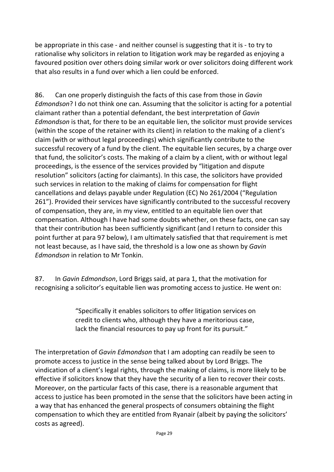be appropriate in this case - and neither counsel is suggesting that it is - to try to rationalise why solicitors in relation to litigation work may be regarded as enjoying a favoured position over others doing similar work or over solicitors doing different work that also results in a fund over which a lien could be enforced.

86. Can one properly distinguish the facts of this case from those in *Gavin Edmondson*? I do not think one can. Assuming that the solicitor is acting for a potential claimant rather than a potential defendant, the best interpretation of *Gavin Edmondson* is that, for there to be an equitable lien, the solicitor must provide services (within the scope of the retainer with its client) in relation to the making of a client's claim (with or without legal proceedings) which significantly contribute to the successful recovery of a fund by the client. The equitable lien secures, by a charge over that fund, the solicitor's costs. The making of a claim by a client, with or without legal proceedings, is the essence of the services provided by "litigation and dispute resolution" solicitors (acting for claimants). In this case, the solicitors have provided such services in relation to the making of claims for compensation for flight cancellations and delays payable under Regulation (EC) No 261/2004 ("Regulation 261"). Provided their services have significantly contributed to the successful recovery of compensation, they are, in my view, entitled to an equitable lien over that compensation. Although I have had some doubts whether, on these facts, one can say that their contribution has been sufficiently significant (and I return to consider this point further at para 97 below), I am ultimately satisfied that that requirement is met not least because, as I have said, the threshold is a low one as shown by *Gavin Edmondson* in relation to Mr Tonkin.

87. In *Gavin Edmondson*, Lord Briggs said, at para 1, that the motivation for recognising a solicitor's equitable lien was promoting access to justice. He went on:

> "Specifically it enables solicitors to offer litigation services on credit to clients who, although they have a meritorious case, lack the financial resources to pay up front for its pursuit."

The interpretation of *Gavin Edmondson* that I am adopting can readily be seen to promote access to justice in the sense being talked about by Lord Briggs. The vindication of a client's legal rights, through the making of claims, is more likely to be effective if solicitors know that they have the security of a lien to recover their costs. Moreover, on the particular facts of this case, there is a reasonable argument that access to justice has been promoted in the sense that the solicitors have been acting in a way that has enhanced the general prospects of consumers obtaining the flight compensation to which they are entitled from Ryanair (albeit by paying the solicitors' costs as agreed).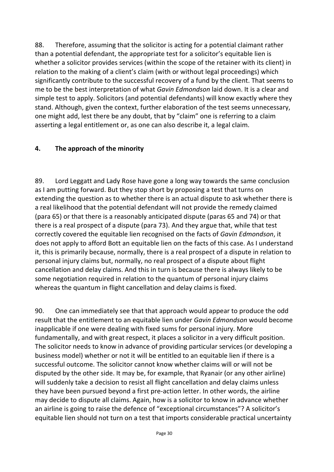88. Therefore, assuming that the solicitor is acting for a potential claimant rather than a potential defendant, the appropriate test for a solicitor's equitable lien is whether a solicitor provides services (within the scope of the retainer with its client) in relation to the making of a client's claim (with or without legal proceedings) which significantly contribute to the successful recovery of a fund by the client. That seems to me to be the best interpretation of what *Gavin Edmondson* laid down. It is a clear and simple test to apply. Solicitors (and potential defendants) will know exactly where they stand. Although, given the context, further elaboration of the test seems unnecessary, one might add, lest there be any doubt, that by "claim" one is referring to a claim asserting a legal entitlement or, as one can also describe it, a legal claim.

#### **4. The approach of the minority**

89. Lord Leggatt and Lady Rose have gone a long way towards the same conclusion as I am putting forward. But they stop short by proposing a test that turns on extending the question as to whether there is an actual dispute to ask whether there is a real likelihood that the potential defendant will not provide the remedy claimed (para 65) or that there is a reasonably anticipated dispute (paras 65 and 74) or that there is a real prospect of a dispute (para 73). And they argue that, while that test correctly covered the equitable lien recognised on the facts of *Gavin Edmondson*, it does not apply to afford Bott an equitable lien on the facts of this case. As I understand it, this is primarily because, normally, there is a real prospect of a dispute in relation to personal injury claims but, normally, no real prospect of a dispute about flight cancellation and delay claims. And this in turn is because there is always likely to be some negotiation required in relation to the quantum of personal injury claims whereas the quantum in flight cancellation and delay claims is fixed.

90. One can immediately see that that approach would appear to produce the odd result that the entitlement to an equitable lien under *Gavin Edmondson* would become inapplicable if one were dealing with fixed sums for personal injury. More fundamentally, and with great respect, it places a solicitor in a very difficult position. The solicitor needs to know in advance of providing particular services (or developing a business model) whether or not it will be entitled to an equitable lien if there is a successful outcome. The solicitor cannot know whether claims will or will not be disputed by the other side. It may be, for example, that Ryanair (or any other airline) will suddenly take a decision to resist all flight cancellation and delay claims unless they have been pursued beyond a first pre-action letter. In other words, the airline may decide to dispute all claims. Again, how is a solicitor to know in advance whether an airline is going to raise the defence of "exceptional circumstances"? A solicitor's equitable lien should not turn on a test that imports considerable practical uncertainty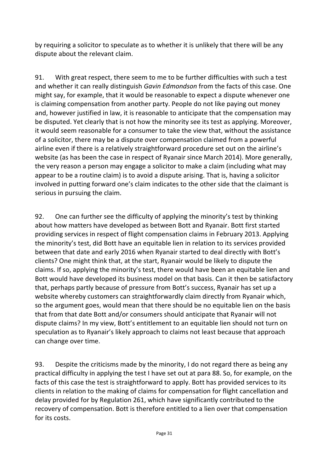by requiring a solicitor to speculate as to whether it is unlikely that there will be any dispute about the relevant claim.

91. With great respect, there seem to me to be further difficulties with such a test and whether it can really distinguish *Gavin Edmondson* from the facts of this case. One might say, for example, that it would be reasonable to expect a dispute whenever one is claiming compensation from another party. People do not like paying out money and, however justified in law, it is reasonable to anticipate that the compensation may be disputed. Yet clearly that is not how the minority see its test as applying. Moreover, it would seem reasonable for a consumer to take the view that, without the assistance of a solicitor, there may be a dispute over compensation claimed from a powerful airline even if there is a relatively straightforward procedure set out on the airline's website (as has been the case in respect of Ryanair since March 2014). More generally, the very reason a person may engage a solicitor to make a claim (including what may appear to be a routine claim) is to avoid a dispute arising. That is, having a solicitor involved in putting forward one's claim indicates to the other side that the claimant is serious in pursuing the claim.

92. One can further see the difficulty of applying the minority's test by thinking about how matters have developed as between Bott and Ryanair. Bott first started providing services in respect of flight compensation claims in February 2013. Applying the minority's test, did Bott have an equitable lien in relation to its services provided between that date and early 2016 when Ryanair started to deal directly with Bott's clients? One might think that, at the start, Ryanair would be likely to dispute the claims. If so, applying the minority's test, there would have been an equitable lien and Bott would have developed its business model on that basis. Can it then be satisfactory that, perhaps partly because of pressure from Bott's success, Ryanair has set up a website whereby customers can straightforwardly claim directly from Ryanair which, so the argument goes, would mean that there should be no equitable lien on the basis that from that date Bott and/or consumers should anticipate that Ryanair will not dispute claims? In my view, Bott's entitlement to an equitable lien should not turn on speculation as to Ryanair's likely approach to claims not least because that approach can change over time.

93. Despite the criticisms made by the minority, I do not regard there as being any practical difficulty in applying the test I have set out at para 88. So, for example, on the facts of this case the test is straightforward to apply. Bott has provided services to its clients in relation to the making of claims for compensation for flight cancellation and delay provided for by Regulation 261, which have significantly contributed to the recovery of compensation. Bott is therefore entitled to a lien over that compensation for its costs.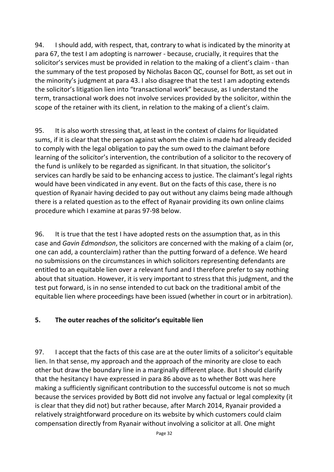94. I should add, with respect, that, contrary to what is indicated by the minority at para 67, the test I am adopting is narrower - because, crucially, it requires that the solicitor's services must be provided in relation to the making of a client's claim - than the summary of the test proposed by Nicholas Bacon QC, counsel for Bott, as set out in the minority's judgment at para 43. I also disagree that the test I am adopting extends the solicitor's litigation lien into "transactional work" because, as I understand the term, transactional work does not involve services provided by the solicitor, within the scope of the retainer with its client, in relation to the making of a client's claim.

95. It is also worth stressing that, at least in the context of claims for liquidated sums, if it is clear that the person against whom the claim is made had already decided to comply with the legal obligation to pay the sum owed to the claimant before learning of the solicitor's intervention, the contribution of a solicitor to the recovery of the fund is unlikely to be regarded as significant. In that situation, the solicitor's services can hardly be said to be enhancing access to justice. The claimant's legal rights would have been vindicated in any event. But on the facts of this case, there is no question of Ryanair having decided to pay out without any claims being made although there is a related question as to the effect of Ryanair providing its own online claims procedure which I examine at paras 97-98 below.

96. It is true that the test I have adopted rests on the assumption that, as in this case and *Gavin Edmondson*, the solicitors are concerned with the making of a claim (or, one can add, a counterclaim) rather than the putting forward of a defence. We heard no submissions on the circumstances in which solicitors representing defendants are entitled to an equitable lien over a relevant fund and I therefore prefer to say nothing about that situation. However, it is very important to stress that this judgment, and the test put forward, is in no sense intended to cut back on the traditional ambit of the equitable lien where proceedings have been issued (whether in court or in arbitration).

#### **5. The outer reaches of the solicitor's equitable lien**

97. I accept that the facts of this case are at the outer limits of a solicitor's equitable lien. In that sense, my approach and the approach of the minority are close to each other but draw the boundary line in a marginally different place. But I should clarify that the hesitancy I have expressed in para 86 above as to whether Bott was here making a sufficiently significant contribution to the successful outcome is not so much because the services provided by Bott did not involve any factual or legal complexity (it is clear that they did not) but rather because, after March 2014, Ryanair provided a relatively straightforward procedure on its website by which customers could claim compensation directly from Ryanair without involving a solicitor at all. One might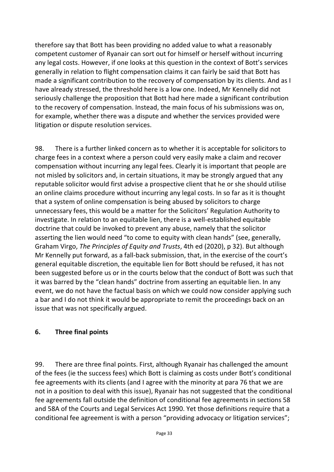therefore say that Bott has been providing no added value to what a reasonably competent customer of Ryanair can sort out for himself or herself without incurring any legal costs. However, if one looks at this question in the context of Bott's services generally in relation to flight compensation claims it can fairly be said that Bott has made a significant contribution to the recovery of compensation by its clients. And as I have already stressed, the threshold here is a low one. Indeed, Mr Kennelly did not seriously challenge the proposition that Bott had here made a significant contribution to the recovery of compensation. Instead, the main focus of his submissions was on, for example, whether there was a dispute and whether the services provided were litigation or dispute resolution services.

98. There is a further linked concern as to whether it is acceptable for solicitors to charge fees in a context where a person could very easily make a claim and recover compensation without incurring any legal fees. Clearly it is important that people are not misled by solicitors and, in certain situations, it may be strongly argued that any reputable solicitor would first advise a prospective client that he or she should utilise an online claims procedure without incurring any legal costs. In so far as it is thought that a system of online compensation is being abused by solicitors to charge unnecessary fees, this would be a matter for the Solicitors' Regulation Authority to investigate. In relation to an equitable lien, there is a well-established equitable doctrine that could be invoked to prevent any abuse, namely that the solicitor asserting the lien would need "to come to equity with clean hands" (see, generally, Graham Virgo, *The Principles of Equity and Trusts*, 4th ed (2020), p 32). But although Mr Kennelly put forward, as a fall-back submission, that, in the exercise of the court's general equitable discretion, the equitable lien for Bott should be refused, it has not been suggested before us or in the courts below that the conduct of Bott was such that it was barred by the "clean hands" doctrine from asserting an equitable lien. In any event, we do not have the factual basis on which we could now consider applying such a bar and I do not think it would be appropriate to remit the proceedings back on an issue that was not specifically argued.

## **6. Three final points**

99. There are three final points. First, although Ryanair has challenged the amount of the fees (ie the success fees) which Bott is claiming as costs under Bott's conditional fee agreements with its clients (and I agree with the minority at para 76 that we are not in a position to deal with this issue), Ryanair has not suggested that the conditional fee agreements fall outside the definition of conditional fee agreements in sections 58 and 58A of the Courts and Legal Services Act 1990. Yet those definitions require that a conditional fee agreement is with a person "providing advocacy or litigation services";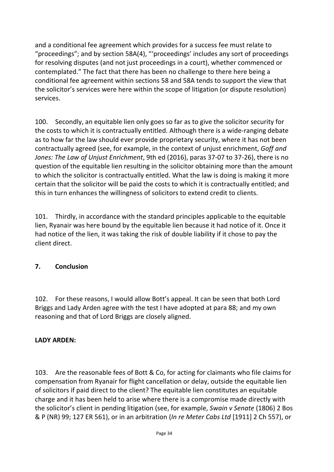and a conditional fee agreement which provides for a success fee must relate to "proceedings"; and by section 58A(4), "'proceedings' includes any sort of proceedings for resolving disputes (and not just proceedings in a court), whether commenced or contemplated." The fact that there has been no challenge to there here being a conditional fee agreement within sections 58 and 58A tends to support the view that the solicitor's services were here within the scope of litigation (or dispute resolution) services.

100. Secondly, an equitable lien only goes so far as to give the solicitor security for the costs to which it is contractually entitled. Although there is a wide-ranging debate as to how far the law should ever provide proprietary security, where it has not been contractually agreed (see, for example, in the context of unjust enrichment, *Goff and Jones: The Law of Unjust Enrichment*, 9th ed (2016), paras 37-07 to 37-26), there is no question of the equitable lien resulting in the solicitor obtaining more than the amount to which the solicitor is contractually entitled. What the law is doing is making it more certain that the solicitor will be paid the costs to which it is contractually entitled; and this in turn enhances the willingness of solicitors to extend credit to clients.

101. Thirdly, in accordance with the standard principles applicable to the equitable lien, Ryanair was here bound by the equitable lien because it had notice of it. Once it had notice of the lien, it was taking the risk of double liability if it chose to pay the client direct.

## **7. Conclusion**

102. For these reasons, I would allow Bott's appeal. It can be seen that both Lord Briggs and Lady Arden agree with the test I have adopted at para 88; and my own reasoning and that of Lord Briggs are closely aligned.

#### **LADY ARDEN:**

103. Are the reasonable fees of Bott & Co, for acting for claimants who file claims for compensation from Ryanair for flight cancellation or delay, outside the equitable lien of solicitors if paid direct to the client? The equitable lien constitutes an equitable charge and it has been held to arise where there is a compromise made directly with the solicitor's client in pending litigation (see, for example, *Swain v Senate* (1806) 2 Bos & P (NR) 99; 127 ER 561), or in an arbitration (*In re Meter Cabs Ltd* [1911] 2 Ch 557), or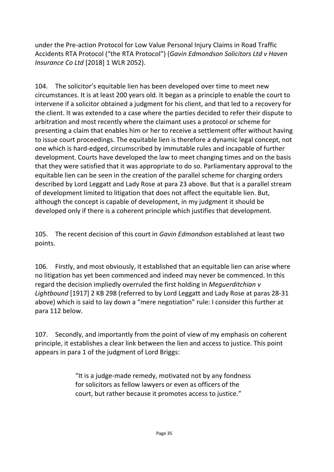under the Pre-action Protocol for Low Value Personal Injury Claims in Road Traffic Accidents RTA Protocol ("the RTA Protocol") (*Gavin Edmondson Solicitors Ltd v Haven Insurance Co Ltd* [2018] 1 WLR 2052).

104. The solicitor's equitable lien has been developed over time to meet new circumstances. It is at least 200 years old. It began as a principle to enable the court to intervene if a solicitor obtained a judgment for his client, and that led to a recovery for the client. It was extended to a case where the parties decided to refer their dispute to arbitration and most recently where the claimant uses a protocol or scheme for presenting a claim that enables him or her to receive a settlement offer without having to issue court proceedings. The equitable lien is therefore a dynamic legal concept, not one which is hard-edged, circumscribed by immutable rules and incapable of further development. Courts have developed the law to meet changing times and on the basis that they were satisfied that it was appropriate to do so. Parliamentary approval to the equitable lien can be seen in the creation of the parallel scheme for charging orders described by Lord Leggatt and Lady Rose at para 23 above. But that is a parallel stream of development limited to litigation that does not affect the equitable lien. But, although the concept is capable of development, in my judgment it should be developed only if there is a coherent principle which justifies that development.

105. The recent decision of this court in *Gavin Edmondson* established at least two points.

106. Firstly, and most obviously, it established that an equitable lien can arise where no litigation has yet been commenced and indeed may never be commenced. In this regard the decision impliedly overruled the first holding in *Meguerditchian v Lightbound* [1917] 2 KB 298 (referred to by Lord Leggatt and Lady Rose at paras 28-31 above) which is said to lay down a "mere negotiation" rule: I consider this further at para 112 below.

107. Secondly, and importantly from the point of view of my emphasis on coherent principle, it establishes a clear link between the lien and access to justice. This point appears in para 1 of the judgment of Lord Briggs:

> "It is a judge-made remedy, motivated not by any fondness for solicitors as fellow lawyers or even as officers of the court, but rather because it promotes access to justice."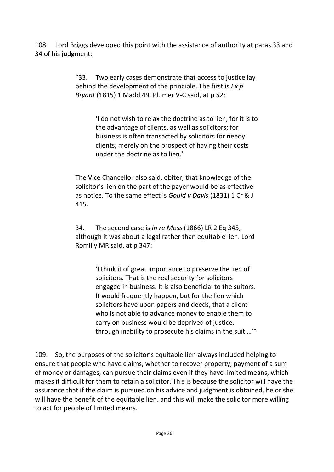108. Lord Briggs developed this point with the assistance of authority at paras 33 and 34 of his judgment:

> "33. Two early cases demonstrate that access to justice lay behind the development of the principle. The first is *Ex p Bryant* (1815) 1 Madd 49. Plumer V-C said, at p 52:

> > 'I do not wish to relax the doctrine as to lien, for it is to the advantage of clients, as well as solicitors; for business is often transacted by solicitors for needy clients, merely on the prospect of having their costs under the doctrine as to lien.'

The Vice Chancellor also said, obiter, that knowledge of the solicitor's lien on the part of the payer would be as effective as notice. To the same effect is *Gould v Davis* (1831) 1 Cr & J 415.

34. The second case is *In re Moss* (1866) LR 2 Eq 345, although it was about a legal rather than equitable lien. Lord Romilly MR said, at p 347:

> 'I think it of great importance to preserve the lien of solicitors. That is the real security for solicitors engaged in business. It is also beneficial to the suitors. It would frequently happen, but for the lien which solicitors have upon papers and deeds, that a client who is not able to advance money to enable them to carry on business would be deprived of justice, through inability to prosecute his claims in the suit …'"

109. So, the purposes of the solicitor's equitable lien always included helping to ensure that people who have claims, whether to recover property, payment of a sum of money or damages, can pursue their claims even if they have limited means, which makes it difficult for them to retain a solicitor. This is because the solicitor will have the assurance that if the claim is pursued on his advice and judgment is obtained, he or she will have the benefit of the equitable lien, and this will make the solicitor more willing to act for people of limited means.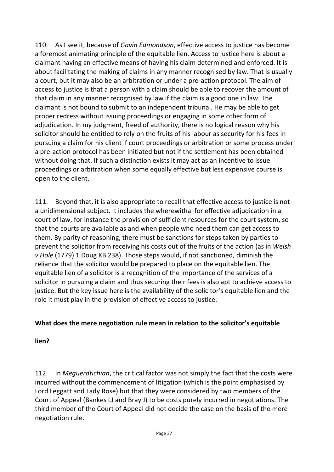110. As I see it, because of *Gavin Edmondson*, effective access to justice has become a foremost animating principle of the equitable lien. Access to justice here is about a claimant having an effective means of having his claim determined and enforced. It is about facilitating the making of claims in any manner recognised by law. That is usually a court, but it may also be an arbitration or under a pre-action protocol. The aim of access to justice is that a person with a claim should be able to recover the amount of that claim in any manner recognised by law if the claim is a good one in law. The claimant is not bound to submit to an independent tribunal. He may be able to get proper redress without issuing proceedings or engaging in some other form of adjudication. In my judgment, freed of authority, there is no logical reason why his solicitor should be entitled to rely on the fruits of his labour as security for his fees in pursuing a claim for his client if court proceedings or arbitration or some process under a pre-action protocol has been initiated but not if the settlement has been obtained without doing that. If such a distinction exists it may act as an incentive to issue proceedings or arbitration when some equally effective but less expensive course is open to the client.

111. Beyond that, it is also appropriate to recall that effective access to justice is not a unidimensional subject. It includes the wherewithal for effective adjudication in a court of law, for instance the provision of sufficient resources for the court system, so that the courts are available as and when people who need them can get access to them. By parity of reasoning, there must be sanctions for steps taken by parties to prevent the solicitor from receiving his costs out of the fruits of the action (as in *Welsh v Hole* (1779) 1 Doug KB 238). Those steps would, if not sanctioned, diminish the reliance that the solicitor would be prepared to place on the equitable lien. The equitable lien of a solicitor is a recognition of the importance of the services of a solicitor in pursuing a claim and thus securing their fees is also apt to achieve access to justice. But the key issue here is the availability of the solicitor's equitable lien and the role it must play in the provision of effective access to justice.

## **What does the mere negotiation rule mean in relation to the solicitor's equitable**

#### **lien?**

112. In *Meguerdtichian*, the critical factor was not simply the fact that the costs were incurred without the commencement of litigation (which is the point emphasised by Lord Leggatt and Lady Rose) but that they were considered by two members of the Court of Appeal (Bankes LJ and Bray J) to be costs purely incurred in negotiations. The third member of the Court of Appeal did not decide the case on the basis of the mere negotiation rule.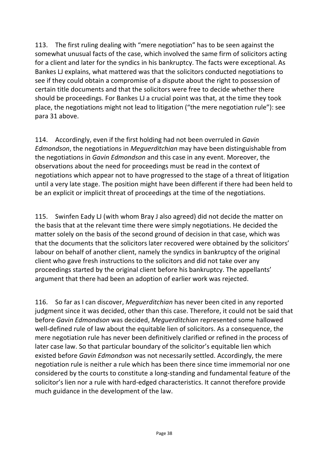113. The first ruling dealing with "mere negotiation" has to be seen against the somewhat unusual facts of the case, which involved the same firm of solicitors acting for a client and later for the syndics in his bankruptcy. The facts were exceptional. As Bankes LJ explains, what mattered was that the solicitors conducted negotiations to see if they could obtain a compromise of a dispute about the right to possession of certain title documents and that the solicitors were free to decide whether there should be proceedings. For Bankes LJ a crucial point was that, at the time they took place, the negotiations might not lead to litigation ("the mere negotiation rule"): see para 31 above.

114. Accordingly, even if the first holding had not been overruled in *Gavin Edmondson*, the negotiations in *Meguerditchian* may have been distinguishable from the negotiations in *Gavin Edmondson* and this case in any event. Moreover, the observations about the need for proceedings must be read in the context of negotiations which appear not to have progressed to the stage of a threat of litigation until a very late stage. The position might have been different if there had been held to be an explicit or implicit threat of proceedings at the time of the negotiations.

115. Swinfen Eady LJ (with whom Bray J also agreed) did not decide the matter on the basis that at the relevant time there were simply negotiations. He decided the matter solely on the basis of the second ground of decision in that case, which was that the documents that the solicitors later recovered were obtained by the solicitors' labour on behalf of another client, namely the syndics in bankruptcy of the original client who gave fresh instructions to the solicitors and did not take over any proceedings started by the original client before his bankruptcy. The appellants' argument that there had been an adoption of earlier work was rejected.

116. So far as I can discover, *Meguerditchian* has never been cited in any reported judgment since it was decided, other than this case. Therefore, it could not be said that before *Gavin Edmondson* was decided, *Meguerditchian* represented some hallowed well-defined rule of law about the equitable lien of solicitors. As a consequence, the mere negotiation rule has never been definitively clarified or refined in the process of later case law. So that particular boundary of the solicitor's equitable lien which existed before *Gavin Edmondson* was not necessarily settled. Accordingly, the mere negotiation rule is neither a rule which has been there since time immemorial nor one considered by the courts to constitute a long-standing and fundamental feature of the solicitor's lien nor a rule with hard-edged characteristics. It cannot therefore provide much guidance in the development of the law.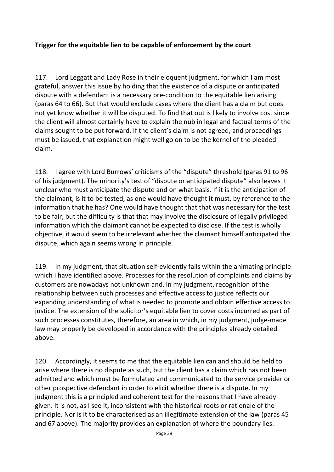#### **Trigger for the equitable lien to be capable of enforcement by the court**

117. Lord Leggatt and Lady Rose in their eloquent judgment, for which I am most grateful, answer this issue by holding that the existence of a dispute or anticipated dispute with a defendant is a necessary pre-condition to the equitable lien arising (paras 64 to 66). But that would exclude cases where the client has a claim but does not yet know whether it will be disputed. To find that out is likely to involve cost since the client will almost certainly have to explain the nub in legal and factual terms of the claims sought to be put forward. If the client's claim is not agreed, and proceedings must be issued, that explanation might well go on to be the kernel of the pleaded claim.

118. I agree with Lord Burrows' criticisms of the "dispute" threshold (paras 91 to 96 of his judgment). The minority's test of "dispute or anticipated dispute" also leaves it unclear who must anticipate the dispute and on what basis. If it is the anticipation of the claimant, is it to be tested, as one would have thought it must, by reference to the information that he has? One would have thought that that was necessary for the test to be fair, but the difficulty is that that may involve the disclosure of legally privileged information which the claimant cannot be expected to disclose. If the test is wholly objective, it would seem to be irrelevant whether the claimant himself anticipated the dispute, which again seems wrong in principle.

119. In my judgment, that situation self-evidently falls within the animating principle which I have identified above. Processes for the resolution of complaints and claims by customers are nowadays not unknown and, in my judgment, recognition of the relationship between such processes and effective access to justice reflects our expanding understanding of what is needed to promote and obtain effective access to justice. The extension of the solicitor's equitable lien to cover costs incurred as part of such processes constitutes, therefore, an area in which, in my judgment, judge-made law may properly be developed in accordance with the principles already detailed above.

120. Accordingly, it seems to me that the equitable lien can and should be held to arise where there is no dispute as such, but the client has a claim which has not been admitted and which must be formulated and communicated to the service provider or other prospective defendant in order to elicit whether there is a dispute. In my judgment this is a principled and coherent test for the reasons that I have already given. It is not, as I see it, inconsistent with the historical roots or rationale of the principle. Nor is it to be characterised as an illegitimate extension of the law (paras 45 and 67 above). The majority provides an explanation of where the boundary lies.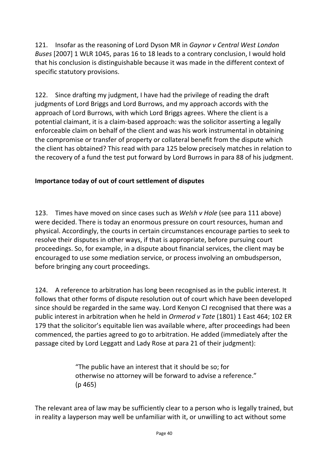121. Insofar as the reasoning of Lord Dyson MR in *Gaynor v Central West London Buses* [2007] 1 WLR 1045, paras 16 to 18 leads to a contrary conclusion, I would hold that his conclusion is distinguishable because it was made in the different context of specific statutory provisions.

122. Since drafting my judgment, I have had the privilege of reading the draft judgments of Lord Briggs and Lord Burrows, and my approach accords with the approach of Lord Burrows, with which Lord Briggs agrees. Where the client is a potential claimant, it is a claim-based approach: was the solicitor asserting a legally enforceable claim on behalf of the client and was his work instrumental in obtaining the compromise or transfer of property or collateral benefit from the dispute which the client has obtained? This read with para 125 below precisely matches in relation to the recovery of a fund the test put forward by Lord Burrows in para 88 of his judgment.

## **Importance today of out of court settlement of disputes**

123. Times have moved on since cases such as *Welsh v Hole* (see para 111 above) were decided. There is today an enormous pressure on court resources, human and physical. Accordingly, the courts in certain circumstances encourage parties to seek to resolve their disputes in other ways, if that is appropriate, before pursuing court proceedings. So, for example, in a dispute about financial services, the client may be encouraged to use some mediation service, or process involving an ombudsperson, before bringing any court proceedings.

124. A reference to arbitration has long been recognised as in the public interest. It follows that other forms of dispute resolution out of court which have been developed since should be regarded in the same way. Lord Kenyon CJ recognised that there was a public interest in arbitration when he held in *Ormerod v Tate* (1801) 1 East 464; 102 ER 179 that the solicitor's equitable lien was available where, after proceedings had been commenced, the parties agreed to go to arbitration. He added (immediately after the passage cited by Lord Leggatt and Lady Rose at para 21 of their judgment):

> "The public have an interest that it should be so; for otherwise no attorney will be forward to advise a reference." (p 465)

The relevant area of law may be sufficiently clear to a person who is legally trained, but in reality a layperson may well be unfamiliar with it, or unwilling to act without some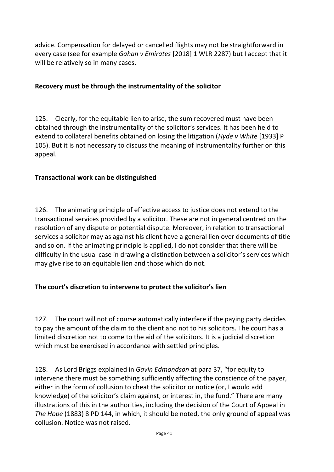advice. Compensation for delayed or cancelled flights may not be straightforward in every case (see for example *Gahan v Emirates* [2018] 1 WLR 2287) but I accept that it will be relatively so in many cases.

#### **Recovery must be through the instrumentality of the solicitor**

125. Clearly, for the equitable lien to arise, the sum recovered must have been obtained through the instrumentality of the solicitor's services. It has been held to extend to collateral benefits obtained on losing the litigation (*Hyde v White* [1933] P 105). But it is not necessary to discuss the meaning of instrumentality further on this appeal.

#### **Transactional work can be distinguished**

126. The animating principle of effective access to justice does not extend to the transactional services provided by a solicitor. These are not in general centred on the resolution of any dispute or potential dispute. Moreover, in relation to transactional services a solicitor may as against his client have a general lien over documents of title and so on. If the animating principle is applied, I do not consider that there will be difficulty in the usual case in drawing a distinction between a solicitor's services which may give rise to an equitable lien and those which do not.

## **The court's discretion to intervene to protect the solicitor's lien**

127. The court will not of course automatically interfere if the paying party decides to pay the amount of the claim to the client and not to his solicitors. The court has a limited discretion not to come to the aid of the solicitors. It is a judicial discretion which must be exercised in accordance with settled principles.

128. As Lord Briggs explained in *Gavin Edmondson* at para 37, "for equity to intervene there must be something sufficiently affecting the conscience of the payer, either in the form of collusion to cheat the solicitor or notice (or, I would add knowledge) of the solicitor's claim against, or interest in, the fund." There are many illustrations of this in the authorities, including the decision of the Court of Appeal in *The Hope* (1883) 8 PD 144, in which, it should be noted, the only ground of appeal was collusion. Notice was not raised.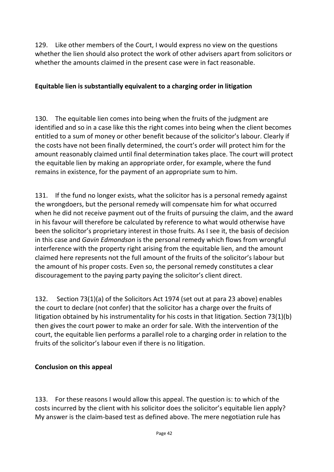129. Like other members of the Court, I would express no view on the questions whether the lien should also protect the work of other advisers apart from solicitors or whether the amounts claimed in the present case were in fact reasonable.

## **Equitable lien is substantially equivalent to a charging order in litigation**

130. The equitable lien comes into being when the fruits of the judgment are identified and so in a case like this the right comes into being when the client becomes entitled to a sum of money or other benefit because of the solicitor's labour. Clearly if the costs have not been finally determined, the court's order will protect him for the amount reasonably claimed until final determination takes place. The court will protect the equitable lien by making an appropriate order, for example, where the fund remains in existence, for the payment of an appropriate sum to him.

131. If the fund no longer exists, what the solicitor has is a personal remedy against the wrongdoers, but the personal remedy will compensate him for what occurred when he did not receive payment out of the fruits of pursuing the claim, and the award in his favour will therefore be calculated by reference to what would otherwise have been the solicitor's proprietary interest in those fruits. As I see it, the basis of decision in this case and *Gavin Edmondson* is the personal remedy which flows from wrongful interference with the property right arising from the equitable lien, and the amount claimed here represents not the full amount of the fruits of the solicitor's labour but the amount of his proper costs. Even so, the personal remedy constitutes a clear discouragement to the paying party paying the solicitor's client direct.

132. Section 73(1)(a) of the Solicitors Act 1974 (set out at para 23 above) enables the court to declare (not confer) that the solicitor has a charge over the fruits of litigation obtained by his instrumentality for his costs in that litigation. Section 73(1)(b) then gives the court power to make an order for sale. With the intervention of the court, the equitable lien performs a parallel role to a charging order in relation to the fruits of the solicitor's labour even if there is no litigation.

#### **Conclusion on this appeal**

133. For these reasons I would allow this appeal. The question is: to which of the costs incurred by the client with his solicitor does the solicitor's equitable lien apply? My answer is the claim-based test as defined above. The mere negotiation rule has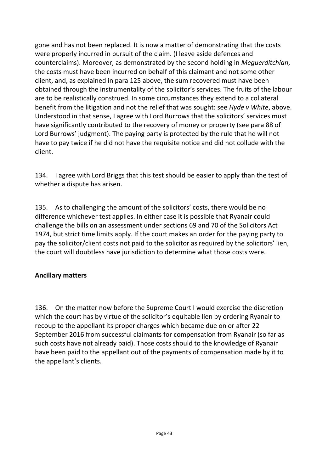gone and has not been replaced. It is now a matter of demonstrating that the costs were properly incurred in pursuit of the claim. (I leave aside defences and counterclaims). Moreover, as demonstrated by the second holding in *Meguerditchian*, the costs must have been incurred on behalf of this claimant and not some other client, and, as explained in para 125 above, the sum recovered must have been obtained through the instrumentality of the solicitor's services. The fruits of the labour are to be realistically construed. In some circumstances they extend to a collateral benefit from the litigation and not the relief that was sought: see *Hyde v White*, above. Understood in that sense, I agree with Lord Burrows that the solicitors' services must have significantly contributed to the recovery of money or property (see para 88 of Lord Burrows' judgment). The paying party is protected by the rule that he will not have to pay twice if he did not have the requisite notice and did not collude with the client.

134. I agree with Lord Briggs that this test should be easier to apply than the test of whether a dispute has arisen.

135. As to challenging the amount of the solicitors' costs, there would be no difference whichever test applies. In either case it is possible that Ryanair could challenge the bills on an assessment under sections 69 and 70 of the Solicitors Act 1974, but strict time limits apply. If the court makes an order for the paying party to pay the solicitor/client costs not paid to the solicitor as required by the solicitors' lien, the court will doubtless have jurisdiction to determine what those costs were.

## **Ancillary matters**

136. On the matter now before the Supreme Court I would exercise the discretion which the court has by virtue of the solicitor's equitable lien by ordering Ryanair to recoup to the appellant its proper charges which became due on or after 22 September 2016 from successful claimants for compensation from Ryanair (so far as such costs have not already paid). Those costs should to the knowledge of Ryanair have been paid to the appellant out of the payments of compensation made by it to the appellant's clients.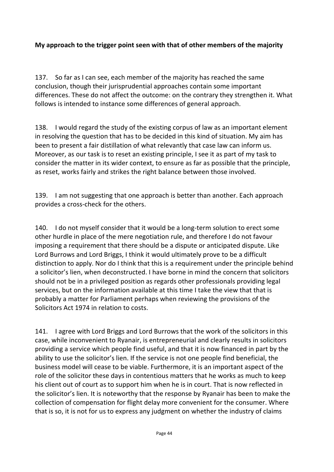#### **My approach to the trigger point seen with that of other members of the majority**

137. So far as I can see, each member of the majority has reached the same conclusion, though their jurisprudential approaches contain some important differences. These do not affect the outcome: on the contrary they strengthen it. What follows is intended to instance some differences of general approach.

138. I would regard the study of the existing corpus of law as an important element in resolving the question that has to be decided in this kind of situation. My aim has been to present a fair distillation of what relevantly that case law can inform us. Moreover, as our task is to reset an existing principle, I see it as part of my task to consider the matter in its wider context, to ensure as far as possible that the principle, as reset, works fairly and strikes the right balance between those involved.

139. I am not suggesting that one approach is better than another. Each approach provides a cross-check for the others.

140. I do not myself consider that it would be a long-term solution to erect some other hurdle in place of the mere negotiation rule, and therefore I do not favour imposing a requirement that there should be a dispute or anticipated dispute. Like Lord Burrows and Lord Briggs, I think it would ultimately prove to be a difficult distinction to apply. Nor do I think that this is a requirement under the principle behind a solicitor's lien, when deconstructed. I have borne in mind the concern that solicitors should not be in a privileged position as regards other professionals providing legal services, but on the information available at this time I take the view that that is probably a matter for Parliament perhaps when reviewing the provisions of the Solicitors Act 1974 in relation to costs.

141. I agree with Lord Briggs and Lord Burrows that the work of the solicitors in this case, while inconvenient to Ryanair, is entrepreneurial and clearly results in solicitors providing a service which people find useful, and that it is now financed in part by the ability to use the solicitor's lien. If the service is not one people find beneficial, the business model will cease to be viable. Furthermore, it is an important aspect of the role of the solicitor these days in contentious matters that he works as much to keep his client out of court as to support him when he is in court. That is now reflected in the solicitor's lien. It is noteworthy that the response by Ryanair has been to make the collection of compensation for flight delay more convenient for the consumer. Where that is so, it is not for us to express any judgment on whether the industry of claims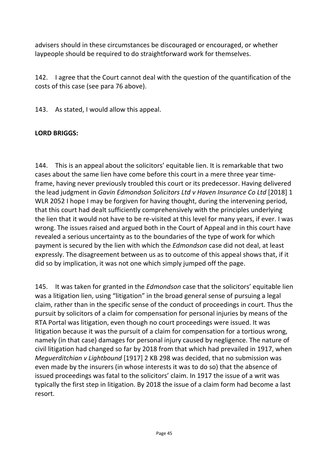advisers should in these circumstances be discouraged or encouraged, or whether laypeople should be required to do straightforward work for themselves.

142. I agree that the Court cannot deal with the question of the quantification of the costs of this case (see para 76 above).

143. As stated, I would allow this appeal.

#### **LORD BRIGGS:**

144. This is an appeal about the solicitors' equitable lien. It is remarkable that two cases about the same lien have come before this court in a mere three year timeframe, having never previously troubled this court or its predecessor. Having delivered the lead judgment in *Gavin Edmondson Solicitors Ltd v Haven Insurance Co Ltd* [2018] 1 WLR 2052 I hope I may be forgiven for having thought, during the intervening period, that this court had dealt sufficiently comprehensively with the principles underlying the lien that it would not have to be re-visited at this level for many years, if ever. I was wrong. The issues raised and argued both in the Court of Appeal and in this court have revealed a serious uncertainty as to the boundaries of the type of work for which payment is secured by the lien with which the *Edmondson* case did not deal, at least expressly. The disagreement between us as to outcome of this appeal shows that, if it did so by implication, it was not one which simply jumped off the page.

145. It was taken for granted in the *Edmondson* case that the solicitors' equitable lien was a litigation lien, using "litigation" in the broad general sense of pursuing a legal claim, rather than in the specific sense of the conduct of proceedings in court. Thus the pursuit by solicitors of a claim for compensation for personal injuries by means of the RTA Portal was litigation, even though no court proceedings were issued. It was litigation because it was the pursuit of a claim for compensation for a tortious wrong, namely (in that case) damages for personal injury caused by negligence. The nature of civil litigation had changed so far by 2018 from that which had prevailed in 1917, when *Meguerditchian v Lightbound* [1917] 2 KB 298 was decided, that no submission was even made by the insurers (in whose interests it was to do so) that the absence of issued proceedings was fatal to the solicitors' claim. In 1917 the issue of a writ was typically the first step in litigation. By 2018 the issue of a claim form had become a last resort.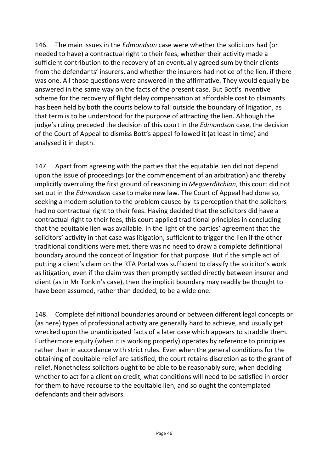146. The main issues in the *Edmondson* case were whether the solicitors had (or needed to have) a contractual right to their fees, whether their activity made a sufficient contribution to the recovery of an eventually agreed sum by their clients from the defendants' insurers, and whether the insurers had notice of the lien, if there was one. All those questions were answered in the affirmative. They would equally be answered in the same way on the facts of the present case. But Bott's inventive scheme for the recovery of flight delay compensation at affordable cost to claimants has been held by both the courts below to fall outside the boundary of litigation, as that term is to be understood for the purpose of attracting the lien. Although the judge's ruling preceded the decision of this court in the *Edmondson* case, the decision of the Court of Appeal to dismiss Bott's appeal followed it (at least in time) and analysed it in depth.

147. Apart from agreeing with the parties that the equitable lien did not depend upon the issue of proceedings (or the commencement of an arbitration) and thereby implicitly overruling the first ground of reasoning in *Meguerditchian*, this court did not set out in the *Edmondson* case to make new law. The Court of Appeal had done so, seeking a modern solution to the problem caused by its perception that the solicitors had no contractual right to their fees. Having decided that the solicitors did have a contractual right to their fees, this court applied traditional principles in concluding that the equitable lien was available. In the light of the parties' agreement that the solicitors' activity in that case was litigation, sufficient to trigger the lien if the other traditional conditions were met, there was no need to draw a complete definitional boundary around the concept of litigation for that purpose. But if the simple act of putting a client's claim on the RTA Portal was sufficient to classify the solicitor's work as litigation, even if the claim was then promptly settled directly between insurer and client (as in Mr Tonkin's case), then the implicit boundary may readily be thought to have been assumed, rather than decided, to be a wide one.

148. Complete definitional boundaries around or between different legal concepts or (as here) types of professional activity are generally hard to achieve, and usually get wrecked upon the unanticipated facts of a later case which appears to straddle them. Furthermore equity (when it is working properly) operates by reference to principles rather than in accordance with strict rules. Even when the general conditions for the obtaining of equitable relief are satisfied, the court retains discretion as to the grant of relief. Nonetheless solicitors ought to be able to be reasonably sure, when deciding whether to act for a client on credit, what conditions will need to be satisfied in order for them to have recourse to the equitable lien, and so ought the contemplated defendants and their advisors.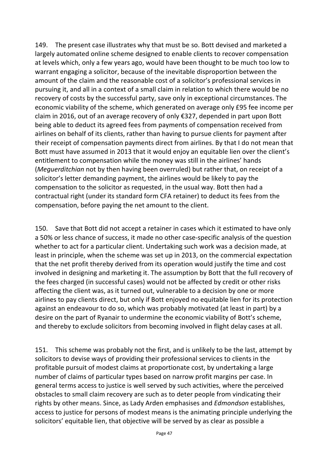149. The present case illustrates why that must be so. Bott devised and marketed a largely automated online scheme designed to enable clients to recover compensation at levels which, only a few years ago, would have been thought to be much too low to warrant engaging a solicitor, because of the inevitable disproportion between the amount of the claim and the reasonable cost of a solicitor's professional services in pursuing it, and all in a context of a small claim in relation to which there would be no recovery of costs by the successful party, save only in exceptional circumstances. The economic viability of the scheme, which generated on average only £95 fee income per claim in 2016, out of an average recovery of only €327, depended in part upon Bott being able to deduct its agreed fees from payments of compensation received from airlines on behalf of its clients, rather than having to pursue clients for payment after their receipt of compensation payments direct from airlines. By that I do not mean that Bott must have assumed in 2013 that it would enjoy an equitable lien over the client's entitlement to compensation while the money was still in the airlines' hands (*Meguerditchian* not by then having been overruled) but rather that, on receipt of a solicitor's letter demanding payment, the airlines would be likely to pay the compensation to the solicitor as requested, in the usual way. Bott then had a contractual right (under its standard form CFA retainer) to deduct its fees from the compensation, before paying the net amount to the client.

150. Save that Bott did not accept a retainer in cases which it estimated to have only a 50% or less chance of success, it made no other case-specific analysis of the question whether to act for a particular client. Undertaking such work was a decision made, at least in principle, when the scheme was set up in 2013, on the commercial expectation that the net profit thereby derived from its operation would justify the time and cost involved in designing and marketing it. The assumption by Bott that the full recovery of the fees charged (in successful cases) would not be affected by credit or other risks affecting the client was, as it turned out, vulnerable to a decision by one or more airlines to pay clients direct, but only if Bott enjoyed no equitable lien for its protection against an endeavour to do so, which was probably motivated (at least in part) by a desire on the part of Ryanair to undermine the economic viability of Bott's scheme, and thereby to exclude solicitors from becoming involved in flight delay cases at all.

151. This scheme was probably not the first, and is unlikely to be the last, attempt by solicitors to devise ways of providing their professional services to clients in the profitable pursuit of modest claims at proportionate cost, by undertaking a large number of claims of particular types based on narrow profit margins per case. In general terms access to justice is well served by such activities, where the perceived obstacles to small claim recovery are such as to deter people from vindicating their rights by other means. Since, as Lady Arden emphasises and *Edmondson* establishes, access to justice for persons of modest means is the animating principle underlying the solicitors' equitable lien, that objective will be served by as clear as possible a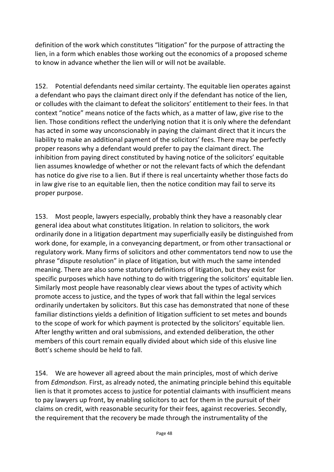definition of the work which constitutes "litigation" for the purpose of attracting the lien, in a form which enables those working out the economics of a proposed scheme to know in advance whether the lien will or will not be available.

152. Potential defendants need similar certainty. The equitable lien operates against a defendant who pays the claimant direct only if the defendant has notice of the lien, or colludes with the claimant to defeat the solicitors' entitlement to their fees. In that context "notice" means notice of the facts which, as a matter of law, give rise to the lien. Those conditions reflect the underlying notion that it is only where the defendant has acted in some way unconscionably in paying the claimant direct that it incurs the liability to make an additional payment of the solicitors' fees. There may be perfectly proper reasons why a defendant would prefer to pay the claimant direct. The inhibition from paying direct constituted by having notice of the solicitors' equitable lien assumes knowledge of whether or not the relevant facts of which the defendant has notice do give rise to a lien. But if there is real uncertainty whether those facts do in law give rise to an equitable lien, then the notice condition may fail to serve its proper purpose.

153. Most people, lawyers especially, probably think they have a reasonably clear general idea about what constitutes litigation. In relation to solicitors, the work ordinarily done in a litigation department may superficially easily be distinguished from work done, for example, in a conveyancing department, or from other transactional or regulatory work. Many firms of solicitors and other commentators tend now to use the phrase "dispute resolution" in place of litigation, but with much the same intended meaning. There are also some statutory definitions of litigation, but they exist for specific purposes which have nothing to do with triggering the solicitors' equitable lien. Similarly most people have reasonably clear views about the types of activity which promote access to justice, and the types of work that fall within the legal services ordinarily undertaken by solicitors. But this case has demonstrated that none of these familiar distinctions yields a definition of litigation sufficient to set metes and bounds to the scope of work for which payment is protected by the solicitors' equitable lien. After lengthy written and oral submissions, and extended deliberation, the other members of this court remain equally divided about which side of this elusive line Bott's scheme should be held to fall.

154. We are however all agreed about the main principles, most of which derive from *Edmondson.* First, as already noted, the animating principle behind this equitable lien is that it promotes access to justice for potential claimants with insufficient means to pay lawyers up front, by enabling solicitors to act for them in the pursuit of their claims on credit, with reasonable security for their fees, against recoveries. Secondly, the requirement that the recovery be made through the instrumentality of the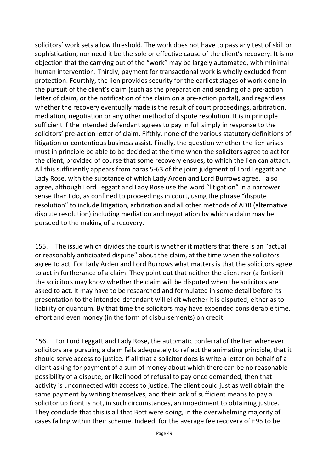solicitors' work sets a low threshold. The work does not have to pass any test of skill or sophistication, nor need it be the sole or effective cause of the client's recovery. It is no objection that the carrying out of the "work" may be largely automated, with minimal human intervention. Thirdly, payment for transactional work is wholly excluded from protection. Fourthly, the lien provides security for the earliest stages of work done in the pursuit of the client's claim (such as the preparation and sending of a pre-action letter of claim, or the notification of the claim on a pre-action portal), and regardless whether the recovery eventually made is the result of court proceedings, arbitration, mediation, negotiation or any other method of dispute resolution. It is in principle sufficient if the intended defendant agrees to pay in full simply in response to the solicitors' pre-action letter of claim. Fifthly, none of the various statutory definitions of litigation or contentious business assist. Finally, the question whether the lien arises must in principle be able to be decided at the time when the solicitors agree to act for the client, provided of course that some recovery ensues, to which the lien can attach. All this sufficiently appears from paras 5-63 of the joint judgment of Lord Leggatt and Lady Rose, with the substance of which Lady Arden and Lord Burrows agree. I also agree, although Lord Leggatt and Lady Rose use the word "litigation" in a narrower sense than I do, as confined to proceedings in court, using the phrase "dispute resolution" to include litigation, arbitration and all other methods of ADR (alternative dispute resolution) including mediation and negotiation by which a claim may be pursued to the making of a recovery.

155. The issue which divides the court is whether it matters that there is an "actual or reasonably anticipated dispute" about the claim, at the time when the solicitors agree to act. For Lady Arden and Lord Burrows what matters is that the solicitors agree to act in furtherance of a claim. They point out that neither the client nor (a fortiori) the solicitors may know whether the claim will be disputed when the solicitors are asked to act. It may have to be researched and formulated in some detail before its presentation to the intended defendant will elicit whether it is disputed, either as to liability or quantum. By that time the solicitors may have expended considerable time, effort and even money (in the form of disbursements) on credit.

156. For Lord Leggatt and Lady Rose, the automatic conferral of the lien whenever solicitors are pursuing a claim fails adequately to reflect the animating principle, that it should serve access to justice. If all that a solicitor does is write a letter on behalf of a client asking for payment of a sum of money about which there can be no reasonable possibility of a dispute, or likelihood of refusal to pay once demanded, then that activity is unconnected with access to justice. The client could just as well obtain the same payment by writing themselves, and their lack of sufficient means to pay a solicitor up front is not, in such circumstances, an impediment to obtaining justice. They conclude that this is all that Bott were doing, in the overwhelming majority of cases falling within their scheme. Indeed, for the average fee recovery of £95 to be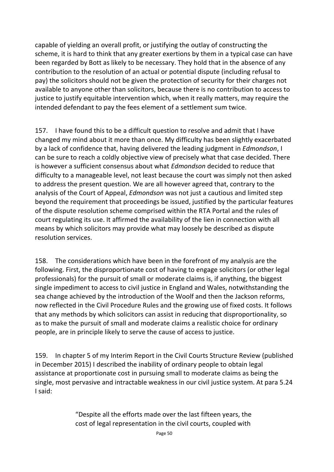capable of yielding an overall profit, or justifying the outlay of constructing the scheme, it is hard to think that any greater exertions by them in a typical case can have been regarded by Bott as likely to be necessary. They hold that in the absence of any contribution to the resolution of an actual or potential dispute (including refusal to pay) the solicitors should not be given the protection of security for their charges not available to anyone other than solicitors, because there is no contribution to access to justice to justify equitable intervention which, when it really matters, may require the intended defendant to pay the fees element of a settlement sum twice.

157. I have found this to be a difficult question to resolve and admit that I have changed my mind about it more than once. My difficulty has been slightly exacerbated by a lack of confidence that, having delivered the leading judgment in *Edmondson*, I can be sure to reach a coldly objective view of precisely what that case decided. There is however a sufficient consensus about what *Edmondson* decided to reduce that difficulty to a manageable level, not least because the court was simply not then asked to address the present question. We are all however agreed that, contrary to the analysis of the Court of Appeal, *Edmondson* was not just a cautious and limited step beyond the requirement that proceedings be issued, justified by the particular features of the dispute resolution scheme comprised within the RTA Portal and the rules of court regulating its use. It affirmed the availability of the lien in connection with all means by which solicitors may provide what may loosely be described as dispute resolution services.

158. The considerations which have been in the forefront of my analysis are the following. First, the disproportionate cost of having to engage solicitors (or other legal professionals) for the pursuit of small or moderate claims is, if anything, the biggest single impediment to access to civil justice in England and Wales, notwithstanding the sea change achieved by the introduction of the Woolf and then the Jackson reforms, now reflected in the Civil Procedure Rules and the growing use of fixed costs. It follows that any methods by which solicitors can assist in reducing that disproportionality, so as to make the pursuit of small and moderate claims a realistic choice for ordinary people, are in principle likely to serve the cause of access to justice.

159. In chapter 5 of my Interim Report in the Civil Courts Structure Review (published in December 2015) I described the inability of ordinary people to obtain legal assistance at proportionate cost in pursuing small to moderate claims as being the single, most pervasive and intractable weakness in our civil justice system. At para 5.24 I said:

> "Despite all the efforts made over the last fifteen years, the cost of legal representation in the civil courts, coupled with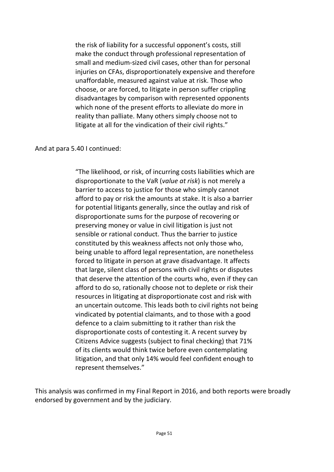the risk of liability for a successful opponent's costs, still make the conduct through professional representation of small and medium-sized civil cases, other than for personal injuries on CFAs, disproportionately expensive and therefore unaffordable, measured against value at risk. Those who choose, or are forced, to litigate in person suffer crippling disadvantages by comparison with represented opponents which none of the present efforts to alleviate do more in reality than palliate. Many others simply choose not to litigate at all for the vindication of their civil rights."

#### And at para 5.40 I continued:

"The likelihood, or risk, of incurring costs liabilities which are disproportionate to the VaR (*value at risk*) is not merely a barrier to access to justice for those who simply cannot afford to pay or risk the amounts at stake. It is also a barrier for potential litigants generally, since the outlay and risk of disproportionate sums for the purpose of recovering or preserving money or value in civil litigation is just not sensible or rational conduct. Thus the barrier to justice constituted by this weakness affects not only those who, being unable to afford legal representation, are nonetheless forced to litigate in person at grave disadvantage. It affects that large, silent class of persons with civil rights or disputes that deserve the attention of the courts who, even if they can afford to do so, rationally choose not to deplete or risk their resources in litigating at disproportionate cost and risk with an uncertain outcome. This leads both to civil rights not being vindicated by potential claimants, and to those with a good defence to a claim submitting to it rather than risk the disproportionate costs of contesting it. A recent survey by Citizens Advice suggests (subject to final checking) that 71% of its clients would think twice before even contemplating litigation, and that only 14% would feel confident enough to represent themselves."

This analysis was confirmed in my Final Report in 2016, and both reports were broadly endorsed by government and by the judiciary.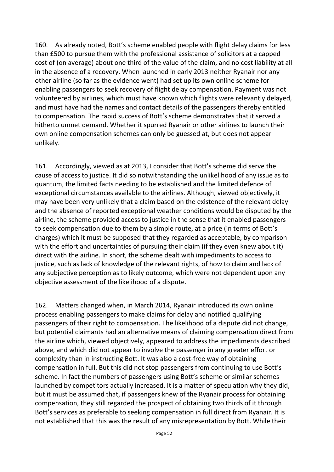160. As already noted, Bott's scheme enabled people with flight delay claims for less than £500 to pursue them with the professional assistance of solicitors at a capped cost of (on average) about one third of the value of the claim, and no cost liability at all in the absence of a recovery. When launched in early 2013 neither Ryanair nor any other airline (so far as the evidence went) had set up its own online scheme for enabling passengers to seek recovery of flight delay compensation. Payment was not volunteered by airlines, which must have known which flights were relevantly delayed, and must have had the names and contact details of the passengers thereby entitled to compensation. The rapid success of Bott's scheme demonstrates that it served a hitherto unmet demand. Whether it spurred Ryanair or other airlines to launch their own online compensation schemes can only be guessed at, but does not appear unlikely.

161. Accordingly, viewed as at 2013, I consider that Bott's scheme did serve the cause of access to justice. It did so notwithstanding the unlikelihood of any issue as to quantum, the limited facts needing to be established and the limited defence of exceptional circumstances available to the airlines. Although, viewed objectively, it may have been very unlikely that a claim based on the existence of the relevant delay and the absence of reported exceptional weather conditions would be disputed by the airline, the scheme provided access to justice in the sense that it enabled passengers to seek compensation due to them by a simple route, at a price (in terms of Bott's charges) which it must be supposed that they regarded as acceptable, by comparison with the effort and uncertainties of pursuing their claim (if they even knew about it) direct with the airline. In short, the scheme dealt with impediments to access to justice, such as lack of knowledge of the relevant rights, of how to claim and lack of any subjective perception as to likely outcome, which were not dependent upon any objective assessment of the likelihood of a dispute.

162. Matters changed when, in March 2014, Ryanair introduced its own online process enabling passengers to make claims for delay and notified qualifying passengers of their right to compensation. The likelihood of a dispute did not change, but potential claimants had an alternative means of claiming compensation direct from the airline which, viewed objectively, appeared to address the impediments described above, and which did not appear to involve the passenger in any greater effort or complexity than in instructing Bott. It was also a cost-free way of obtaining compensation in full. But this did not stop passengers from continuing to use Bott's scheme. In fact the numbers of passengers using Bott's scheme or similar schemes launched by competitors actually increased. It is a matter of speculation why they did, but it must be assumed that, if passengers knew of the Ryanair process for obtaining compensation, they still regarded the prospect of obtaining two thirds of it through Bott's services as preferable to seeking compensation in full direct from Ryanair. It is not established that this was the result of any misrepresentation by Bott. While their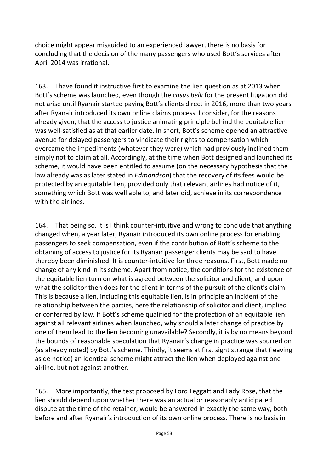choice might appear misguided to an experienced lawyer, there is no basis for concluding that the decision of the many passengers who used Bott's services after April 2014 was irrational.

163. I have found it instructive first to examine the lien question as at 2013 when Bott's scheme was launched, even though the *casus belli* for the present litigation did not arise until Ryanair started paying Bott's clients direct in 2016, more than two years after Ryanair introduced its own online claims process. I consider, for the reasons already given, that the access to justice animating principle behind the equitable lien was well-satisfied as at that earlier date. In short, Bott's scheme opened an attractive avenue for delayed passengers to vindicate their rights to compensation which overcame the impediments (whatever they were) which had previously inclined them simply not to claim at all. Accordingly, at the time when Bott designed and launched its scheme, it would have been entitled to assume (on the necessary hypothesis that the law already was as later stated in *Edmondson*) that the recovery of its fees would be protected by an equitable lien, provided only that relevant airlines had notice of it, something which Bott was well able to, and later did, achieve in its correspondence with the airlines.

164. That being so, it is I think counter-intuitive and wrong to conclude that anything changed when, a year later, Ryanair introduced its own online process for enabling passengers to seek compensation, even if the contribution of Bott's scheme to the obtaining of access to justice for its Ryanair passenger clients may be said to have thereby been diminished. It is counter-intuitive for three reasons. First, Bott made no change of any kind in its scheme. Apart from notice, the conditions for the existence of the equitable lien turn on what is agreed between the solicitor and client, and upon what the solicitor then does for the client in terms of the pursuit of the client's claim. This is because a lien, including this equitable lien, is in principle an incident of the relationship between the parties, here the relationship of solicitor and client, implied or conferred by law. If Bott's scheme qualified for the protection of an equitable lien against all relevant airlines when launched, why should a later change of practice by one of them lead to the lien becoming unavailable? Secondly, it is by no means beyond the bounds of reasonable speculation that Ryanair's change in practice was spurred on (as already noted) by Bott's scheme. Thirdly, it seems at first sight strange that (leaving aside notice) an identical scheme might attract the lien when deployed against one airline, but not against another.

165. More importantly, the test proposed by Lord Leggatt and Lady Rose, that the lien should depend upon whether there was an actual or reasonably anticipated dispute at the time of the retainer, would be answered in exactly the same way, both before and after Ryanair's introduction of its own online process. There is no basis in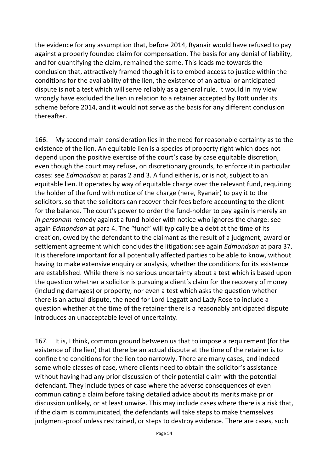the evidence for any assumption that, before 2014, Ryanair would have refused to pay against a properly founded claim for compensation. The basis for any denial of liability, and for quantifying the claim, remained the same. This leads me towards the conclusion that, attractively framed though it is to embed access to justice within the conditions for the availability of the lien, the existence of an actual or anticipated dispute is not a test which will serve reliably as a general rule. It would in my view wrongly have excluded the lien in relation to a retainer accepted by Bott under its scheme before 2014, and it would not serve as the basis for any different conclusion thereafter.

166. My second main consideration lies in the need for reasonable certainty as to the existence of the lien. An equitable lien is a species of property right which does not depend upon the positive exercise of the court's case by case equitable discretion, even though the court may refuse, on discretionary grounds, to enforce it in particular cases: see *Edmondson* at paras 2 and 3*.* A fund either is, or is not, subject to an equitable lien. It operates by way of equitable charge over the relevant fund, requiring the holder of the fund with notice of the charge (here, Ryanair) to pay it to the solicitors, so that the solicitors can recover their fees before accounting to the client for the balance. The court's power to order the fund-holder to pay again is merely an *in personam* remedy against a fund-holder with notice who ignores the charge: see again *Edmondson* at para 4. The "fund" will typically be a debt at the time of its creation, owed by the defendant to the claimant as the result of a judgment, award or settlement agreement which concludes the litigation: see again *Edmondson* at para 37. It is therefore important for all potentially affected parties to be able to know, without having to make extensive enquiry or analysis, whether the conditions for its existence are established. While there is no serious uncertainty about a test which is based upon the question whether a solicitor is pursuing a client's claim for the recovery of money (including damages) or property, nor even a test which asks the question whether there is an actual dispute, the need for Lord Leggatt and Lady Rose to include a question whether at the time of the retainer there is a reasonably anticipated dispute introduces an unacceptable level of uncertainty.

167. It is, I think, common ground between us that to impose a requirement (for the existence of the lien) that there be an actual dispute at the time of the retainer is to confine the conditions for the lien too narrowly. There are many cases, and indeed some whole classes of case, where clients need to obtain the solicitor's assistance without having had any prior discussion of their potential claim with the potential defendant. They include types of case where the adverse consequences of even communicating a claim before taking detailed advice about its merits make prior discussion unlikely, or at least unwise. This may include cases where there is a risk that, if the claim is communicated, the defendants will take steps to make themselves judgment-proof unless restrained, or steps to destroy evidence. There are cases, such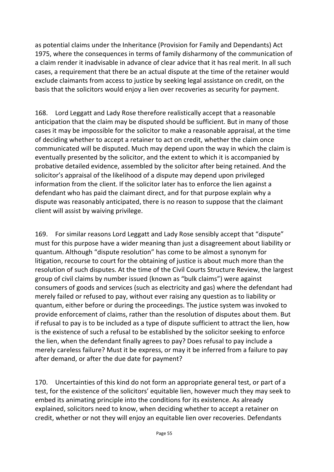as potential claims under the Inheritance (Provision for Family and Dependants) Act 1975, where the consequences in terms of family disharmony of the communication of a claim render it inadvisable in advance of clear advice that it has real merit. In all such cases, a requirement that there be an actual dispute at the time of the retainer would exclude claimants from access to justice by seeking legal assistance on credit, on the basis that the solicitors would enjoy a lien over recoveries as security for payment.

168. Lord Leggatt and Lady Rose therefore realistically accept that a reasonable anticipation that the claim may be disputed should be sufficient. But in many of those cases it may be impossible for the solicitor to make a reasonable appraisal, at the time of deciding whether to accept a retainer to act on credit, whether the claim once communicated will be disputed. Much may depend upon the way in which the claim is eventually presented by the solicitor, and the extent to which it is accompanied by probative detailed evidence, assembled by the solicitor after being retained. And the solicitor's appraisal of the likelihood of a dispute may depend upon privileged information from the client. If the solicitor later has to enforce the lien against a defendant who has paid the claimant direct, and for that purpose explain why a dispute was reasonably anticipated, there is no reason to suppose that the claimant client will assist by waiving privilege.

169. For similar reasons Lord Leggatt and Lady Rose sensibly accept that "dispute" must for this purpose have a wider meaning than just a disagreement about liability or quantum. Although "dispute resolution" has come to be almost a synonym for litigation, recourse to court for the obtaining of justice is about much more than the resolution of such disputes. At the time of the Civil Courts Structure Review, the largest group of civil claims by number issued (known as "bulk claims") were against consumers of goods and services (such as electricity and gas) where the defendant had merely failed or refused to pay, without ever raising any question as to liability or quantum, either before or during the proceedings. The justice system was invoked to provide enforcement of claims, rather than the resolution of disputes about them. But if refusal to pay is to be included as a type of dispute sufficient to attract the lien, how is the existence of such a refusal to be established by the solicitor seeking to enforce the lien, when the defendant finally agrees to pay? Does refusal to pay include a merely careless failure? Must it be express, or may it be inferred from a failure to pay after demand, or after the due date for payment?

170. Uncertainties of this kind do not form an appropriate general test, or part of a test, for the existence of the solicitors' equitable lien, however much they may seek to embed its animating principle into the conditions for its existence. As already explained, solicitors need to know, when deciding whether to accept a retainer on credit, whether or not they will enjoy an equitable lien over recoveries. Defendants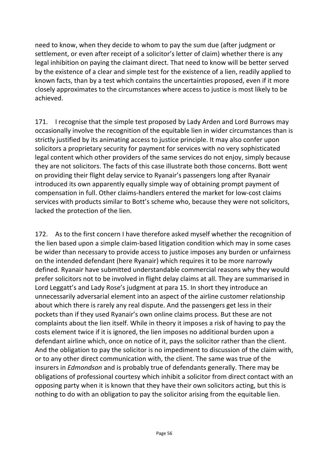need to know, when they decide to whom to pay the sum due (after judgment or settlement, or even after receipt of a solicitor's letter of claim) whether there is any legal inhibition on paying the claimant direct. That need to know will be better served by the existence of a clear and simple test for the existence of a lien, readily applied to known facts, than by a test which contains the uncertainties proposed, even if it more closely approximates to the circumstances where access to justice is most likely to be achieved.

171. I recognise that the simple test proposed by Lady Arden and Lord Burrows may occasionally involve the recognition of the equitable lien in wider circumstances than is strictly justified by its animating access to justice principle. It may also confer upon solicitors a proprietary security for payment for services with no very sophisticated legal content which other providers of the same services do not enjoy, simply because they are not solicitors. The facts of this case illustrate both those concerns. Bott went on providing their flight delay service to Ryanair's passengers long after Ryanair introduced its own apparently equally simple way of obtaining prompt payment of compensation in full. Other claims-handlers entered the market for low-cost claims services with products similar to Bott's scheme who, because they were not solicitors, lacked the protection of the lien.

172. As to the first concern I have therefore asked myself whether the recognition of the lien based upon a simple claim-based litigation condition which may in some cases be wider than necessary to provide access to justice imposes any burden or unfairness on the intended defendant (here Ryanair) which requires it to be more narrowly defined. Ryanair have submitted understandable commercial reasons why they would prefer solicitors not to be involved in flight delay claims at all. They are summarised in Lord Leggatt's and Lady Rose's judgment at para 15. In short they introduce an unnecessarily adversarial element into an aspect of the airline customer relationship about which there is rarely any real dispute. And the passengers get less in their pockets than if they used Ryanair's own online claims process. But these are not complaints about the lien itself. While in theory it imposes a risk of having to pay the costs element twice if it is ignored, the lien imposes no additional burden upon a defendant airline which, once on notice of it, pays the solicitor rather than the client. And the obligation to pay the solicitor is no impediment to discussion of the claim with, or to any other direct communication with, the client. The same was true of the insurers in *Edmondson* and is probably true of defendants generally. There may be obligations of professional courtesy which inhibit a solicitor from direct contact with an opposing party when it is known that they have their own solicitors acting, but this is nothing to do with an obligation to pay the solicitor arising from the equitable lien.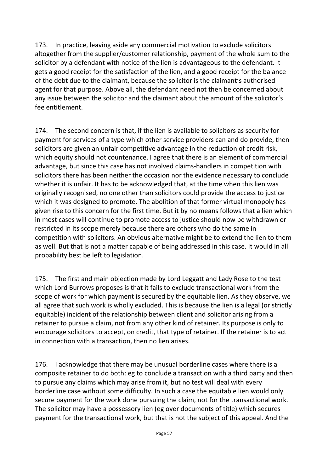173. In practice, leaving aside any commercial motivation to exclude solicitors altogether from the supplier/customer relationship, payment of the whole sum to the solicitor by a defendant with notice of the lien is advantageous to the defendant. It gets a good receipt for the satisfaction of the lien, and a good receipt for the balance of the debt due to the claimant, because the solicitor is the claimant's authorised agent for that purpose. Above all, the defendant need not then be concerned about any issue between the solicitor and the claimant about the amount of the solicitor's fee entitlement.

174. The second concern is that, if the lien is available to solicitors as security for payment for services of a type which other service providers can and do provide, then solicitors are given an unfair competitive advantage in the reduction of credit risk, which equity should not countenance. I agree that there is an element of commercial advantage, but since this case has not involved claims-handlers in competition with solicitors there has been neither the occasion nor the evidence necessary to conclude whether it is unfair. It has to be acknowledged that, at the time when this lien was originally recognised, no one other than solicitors could provide the access to justice which it was designed to promote. The abolition of that former virtual monopoly has given rise to this concern for the first time. But it by no means follows that a lien which in most cases will continue to promote access to justice should now be withdrawn or restricted in its scope merely because there are others who do the same in competition with solicitors. An obvious alternative might be to extend the lien to them as well. But that is not a matter capable of being addressed in this case. It would in all probability best be left to legislation.

175. The first and main objection made by Lord Leggatt and Lady Rose to the test which Lord Burrows proposes is that it fails to exclude transactional work from the scope of work for which payment is secured by the equitable lien. As they observe, we all agree that such work is wholly excluded. This is because the lien is a legal (or strictly equitable) incident of the relationship between client and solicitor arising from a retainer to pursue a claim, not from any other kind of retainer. Its purpose is only to encourage solicitors to accept, on credit, that type of retainer. If the retainer is to act in connection with a transaction, then no lien arises.

176. I acknowledge that there may be unusual borderline cases where there is a composite retainer to do both: eg to conclude a transaction with a third party and then to pursue any claims which may arise from it, but no test will deal with every borderline case without some difficulty. In such a case the equitable lien would only secure payment for the work done pursuing the claim, not for the transactional work. The solicitor may have a possessory lien (eg over documents of title) which secures payment for the transactional work, but that is not the subject of this appeal. And the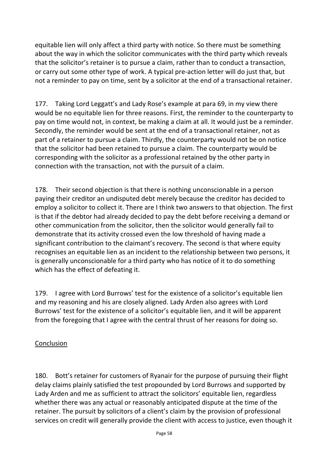equitable lien will only affect a third party with notice. So there must be something about the way in which the solicitor communicates with the third party which reveals that the solicitor's retainer is to pursue a claim, rather than to conduct a transaction, or carry out some other type of work. A typical pre-action letter will do just that, but not a reminder to pay on time, sent by a solicitor at the end of a transactional retainer.

177. Taking Lord Leggatt's and Lady Rose's example at para 69, in my view there would be no equitable lien for three reasons. First, the reminder to the counterparty to pay on time would not, in context, be making a claim at all. It would just be a reminder. Secondly, the reminder would be sent at the end of a transactional retainer, not as part of a retainer to pursue a claim. Thirdly, the counterparty would not be on notice that the solicitor had been retained to pursue a claim. The counterparty would be corresponding with the solicitor as a professional retained by the other party in connection with the transaction, not with the pursuit of a claim.

178. Their second objection is that there is nothing unconscionable in a person paying their creditor an undisputed debt merely because the creditor has decided to employ a solicitor to collect it. There are I think two answers to that objection. The first is that if the debtor had already decided to pay the debt before receiving a demand or other communication from the solicitor, then the solicitor would generally fail to demonstrate that its activity crossed even the low threshold of having made a significant contribution to the claimant's recovery. The second is that where equity recognises an equitable lien as an incident to the relationship between two persons, it is generally unconscionable for a third party who has notice of it to do something which has the effect of defeating it.

179. I agree with Lord Burrows' test for the existence of a solicitor's equitable lien and my reasoning and his are closely aligned. Lady Arden also agrees with Lord Burrows' test for the existence of a solicitor's equitable lien, and it will be apparent from the foregoing that I agree with the central thrust of her reasons for doing so.

## Conclusion

180. Bott's retainer for customers of Ryanair for the purpose of pursuing their flight delay claims plainly satisfied the test propounded by Lord Burrows and supported by Lady Arden and me as sufficient to attract the solicitors' equitable lien, regardless whether there was any actual or reasonably anticipated dispute at the time of the retainer. The pursuit by solicitors of a client's claim by the provision of professional services on credit will generally provide the client with access to justice, even though it